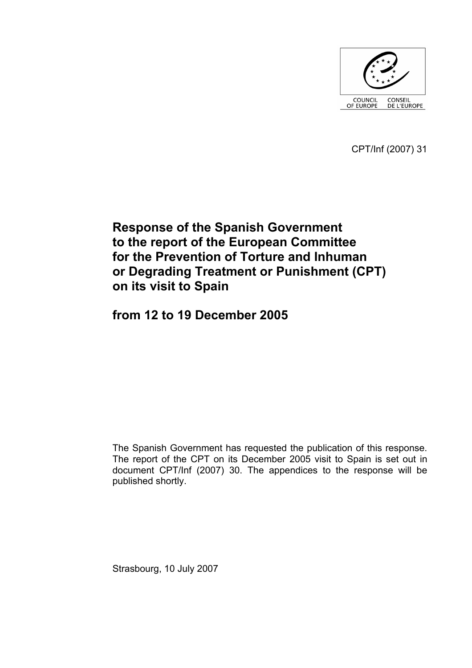

CPT/Inf (2007) 31

# **Response of the Spanish Government to the report of the European Committee for the Prevention of Torture and Inhuman or Degrading Treatment or Punishment (CPT) on its visit to Spain**

**from 12 to 19 December 2005** 

The Spanish Government has requested the publication of this response. The report of the CPT on its December 2005 visit to Spain is set out in document CPT/Inf (2007) 30. The appendices to the response will be published shortly.

Strasbourg, 10 July 2007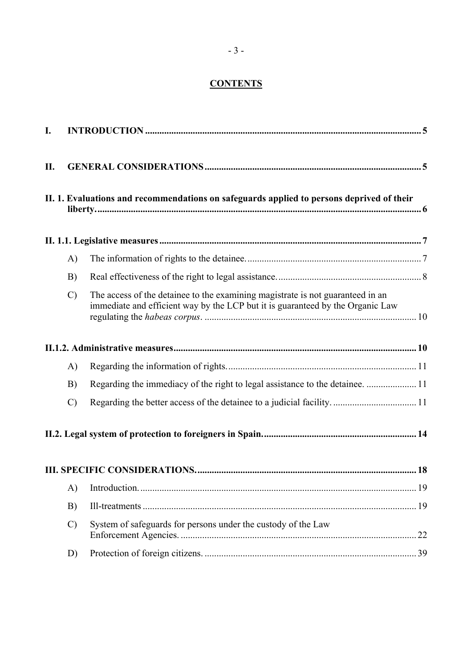# **CONTENTS**

| I.  |               |                                                                                                                                                                  |    |  |  |  |  |
|-----|---------------|------------------------------------------------------------------------------------------------------------------------------------------------------------------|----|--|--|--|--|
| II. |               |                                                                                                                                                                  |    |  |  |  |  |
|     |               | II. 1. Evaluations and recommendations on safeguards applied to persons deprived of their                                                                        |    |  |  |  |  |
|     |               |                                                                                                                                                                  |    |  |  |  |  |
|     | $\mathbf{A}$  |                                                                                                                                                                  |    |  |  |  |  |
|     | B)            |                                                                                                                                                                  |    |  |  |  |  |
|     | $\mathcal{C}$ | The access of the detainee to the examining magistrate is not guaranteed in an<br>immediate and efficient way by the LCP but it is guaranteed by the Organic Law |    |  |  |  |  |
|     |               |                                                                                                                                                                  |    |  |  |  |  |
|     | $\mathbf{A}$  |                                                                                                                                                                  |    |  |  |  |  |
|     | B)            | Regarding the immediacy of the right to legal assistance to the detainee.  11                                                                                    |    |  |  |  |  |
|     | $\mathcal{C}$ |                                                                                                                                                                  |    |  |  |  |  |
|     |               |                                                                                                                                                                  |    |  |  |  |  |
|     |               |                                                                                                                                                                  |    |  |  |  |  |
|     | $\mathbf{A}$  |                                                                                                                                                                  |    |  |  |  |  |
|     | B)            |                                                                                                                                                                  |    |  |  |  |  |
|     | $\mathcal{C}$ | System of safeguards for persons under the custody of the Law                                                                                                    | 22 |  |  |  |  |
|     | D)            |                                                                                                                                                                  | 39 |  |  |  |  |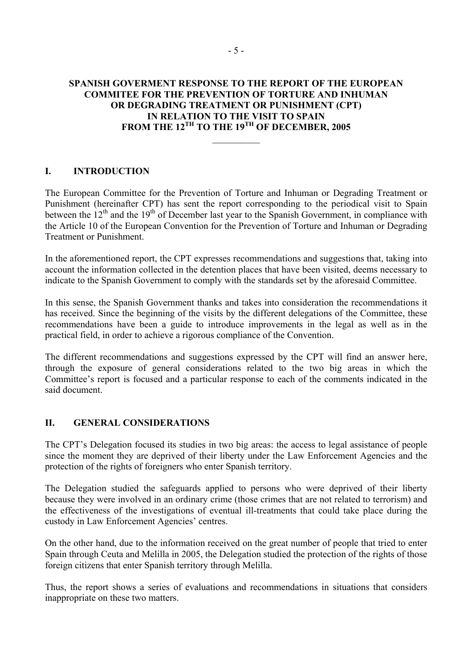## <span id="page-4-0"></span>**SPANISH GOVERMENT RESPONSE TO THE REPORT OF THE EUROPEAN COMMITEE FOR THE PREVENTION OF TORTURE AND INHUMAN OR DEGRADING TREATMENT OR PUNISHMENT (CPT) IN RELATION TO THE VISIT TO SPAIN FROM THE 12TH TO THE 19TH OF DECEMBER, 2005**

 $\frac{1}{2}$ 

# **I. INTRODUCTION**

The European Committee for the Prevention of Torture and Inhuman or Degrading Treatment or Punishment (hereinafter CPT) has sent the report corresponding to the periodical visit to Spain between the 12<sup>th</sup> and the 19<sup>th</sup> of December last year to the Spanish Government, in compliance with the Article 10 of the European Convention for the Prevention of Torture and Inhuman or Degrading Treatment or Punishment.

In the aforementioned report, the CPT expresses recommendations and suggestions that, taking into account the information collected in the detention places that have been visited, deems necessary to indicate to the Spanish Government to comply with the standards set by the aforesaid Committee.

In this sense, the Spanish Government thanks and takes into consideration the recommendations it has received. Since the beginning of the visits by the different delegations of the Committee, these recommendations have been a guide to introduce improvements in the legal as well as in the practical field, in order to achieve a rigorous compliance of the Convention.

The different recommendations and suggestions expressed by the CPT will find an answer here, through the exposure of general considerations related to the two big areas in which the Committee's report is focused and a particular response to each of the comments indicated in the said document.

#### **II. GENERAL CONSIDERATIONS**

The CPT's Delegation focused its studies in two big areas: the access to legal assistance of people since the moment they are deprived of their liberty under the Law Enforcement Agencies and the protection of the rights of foreigners who enter Spanish territory.

The Delegation studied the safeguards applied to persons who were deprived of their liberty because they were involved in an ordinary crime (those crimes that are not related to terrorism) and the effectiveness of the investigations of eventual ill-treatments that could take place during the custody in Law Enforcement Agencies' centres.

On the other hand, due to the information received on the great number of people that tried to enter Spain through Ceuta and Melilla in 2005, the Delegation studied the protection of the rights of those foreign citizens that enter Spanish territory through Melilla.

Thus, the report shows a series of evaluations and recommendations in situations that considers inappropriate on these two matters.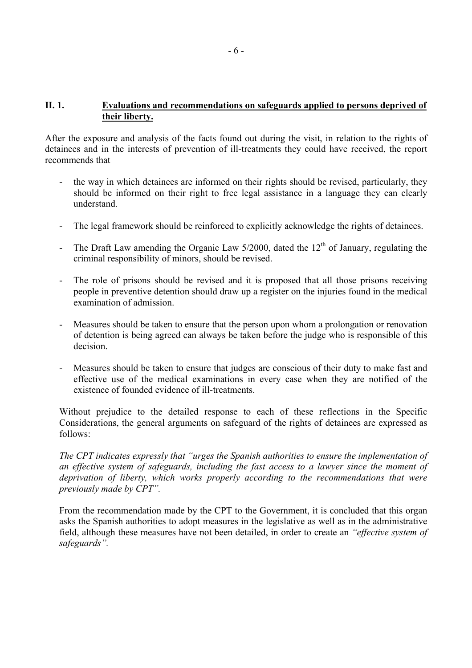#### <span id="page-5-0"></span>**II. 1. Evaluations and recommendations on safeguards applied to persons deprived of their liberty.**

After the exposure and analysis of the facts found out during the visit, in relation to the rights of detainees and in the interests of prevention of ill-treatments they could have received, the report recommends that

- the way in which detainees are informed on their rights should be revised, particularly, they should be informed on their right to free legal assistance in a language they can clearly understand.
- The legal framework should be reinforced to explicitly acknowledge the rights of detainees.
- The Draft Law amending the Organic Law  $5/2000$ , dated the  $12<sup>th</sup>$  of January, regulating the criminal responsibility of minors, should be revised.
- The role of prisons should be revised and it is proposed that all those prisons receiving people in preventive detention should draw up a register on the injuries found in the medical examination of admission.
- Measures should be taken to ensure that the person upon whom a prolongation or renovation of detention is being agreed can always be taken before the judge who is responsible of this decision.
- Measures should be taken to ensure that judges are conscious of their duty to make fast and effective use of the medical examinations in every case when they are notified of the existence of founded evidence of ill-treatments.

Without prejudice to the detailed response to each of these reflections in the Specific Considerations, the general arguments on safeguard of the rights of detainees are expressed as follows:

*The CPT indicates expressly that "urges the Spanish authorities to ensure the implementation of an effective system of safeguards, including the fast access to a lawyer since the moment of deprivation of liberty, which works properly according to the recommendations that were previously made by CPT".* 

From the recommendation made by the CPT to the Government, it is concluded that this organ asks the Spanish authorities to adopt measures in the legislative as well as in the administrative field, although these measures have not been detailed, in order to create an *"effective system of safeguards".*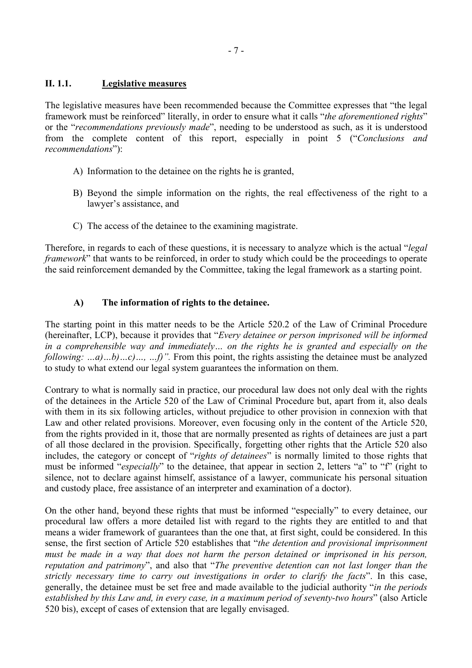#### <span id="page-6-0"></span>**II. 1.1. Legislative measures**

The legislative measures have been recommended because the Committee expresses that "the legal framework must be reinforced" literally, in order to ensure what it calls "*the aforementioned rights*" or the "*recommendations previously made*", needing to be understood as such, as it is understood from the complete content of this report, especially in point 5 ("*Conclusions and recommendations*"):

- A) Information to the detainee on the rights he is granted,
- B) Beyond the simple information on the rights, the real effectiveness of the right to a lawyer's assistance, and
- C) The access of the detainee to the examining magistrate.

Therefore, in regards to each of these questions, it is necessary to analyze which is the actual "*legal framework*" that wants to be reinforced, in order to study which could be the proceedings to operate the said reinforcement demanded by the Committee, taking the legal framework as a starting point.

# **A) The information of rights to the detainee.**

The starting point in this matter needs to be the Article 520.2 of the Law of Criminal Procedure (hereinafter, LCP), because it provides that "*Every detainee or person imprisoned will be informed in a comprehensible way and immediately… on the rights he is granted and especially on the following: …a)…b)…c)…, …f)".* From this point, the rights assisting the detainee must be analyzed to study to what extend our legal system guarantees the information on them.

Contrary to what is normally said in practice, our procedural law does not only deal with the rights of the detainees in the Article 520 of the Law of Criminal Procedure but, apart from it, also deals with them in its six following articles, without prejudice to other provision in connexion with that Law and other related provisions. Moreover, even focusing only in the content of the Article 520, from the rights provided in it, those that are normally presented as rights of detainees are just a part of all those declared in the provision. Specifically, forgetting other rights that the Article 520 also includes, the category or concept of "*rights of detainees*" is normally limited to those rights that must be informed "*especially*" to the detainee, that appear in section 2, letters "a" to "f" (right to silence, not to declare against himself, assistance of a lawyer, communicate his personal situation and custody place, free assistance of an interpreter and examination of a doctor).

On the other hand, beyond these rights that must be informed "especially" to every detainee, our procedural law offers a more detailed list with regard to the rights they are entitled to and that means a wider framework of guarantees than the one that, at first sight, could be considered. In this sense, the first section of Article 520 establishes that "*the detention and provisional imprisonment must be made in a way that does not harm the person detained or imprisoned in his person, reputation and patrimony*", and also that "*The preventive detention can not last longer than the strictly necessary time to carry out investigations in order to clarify the facts*". In this case, generally, the detainee must be set free and made available to the judicial authority "*in the periods established by this Law and, in every case, in a maximum period of seventy-two hours*" (also Article 520 bis), except of cases of extension that are legally envisaged.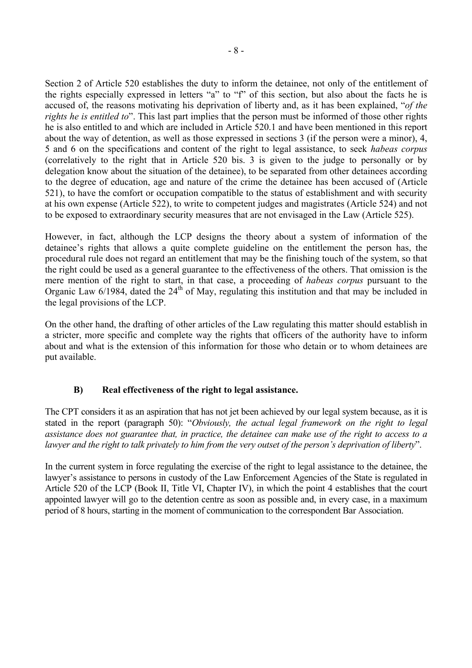<span id="page-7-0"></span>Section 2 of Article 520 establishes the duty to inform the detainee, not only of the entitlement of the rights especially expressed in letters "a" to "f" of this section, but also about the facts he is accused of, the reasons motivating his deprivation of liberty and, as it has been explained, "*of the rights he is entitled to*". This last part implies that the person must be informed of those other rights he is also entitled to and which are included in Article 520.1 and have been mentioned in this report about the way of detention, as well as those expressed in sections 3 (if the person were a minor), 4, 5 and 6 on the specifications and content of the right to legal assistance, to seek *habeas corpus* (correlatively to the right that in Article 520 bis. 3 is given to the judge to personally or by delegation know about the situation of the detainee), to be separated from other detainees according to the degree of education, age and nature of the crime the detainee has been accused of (Article 521), to have the comfort or occupation compatible to the status of establishment and with security at his own expense (Article 522), to write to competent judges and magistrates (Article 524) and not to be exposed to extraordinary security measures that are not envisaged in the Law (Article 525).

However, in fact, although the LCP designs the theory about a system of information of the detainee's rights that allows a quite complete guideline on the entitlement the person has, the procedural rule does not regard an entitlement that may be the finishing touch of the system, so that the right could be used as a general guarantee to the effectiveness of the others. That omission is the mere mention of the right to start, in that case, a proceeding of *habeas corpus* pursuant to the Organic Law  $6/1984$ , dated the  $24<sup>th</sup>$  of May, regulating this institution and that may be included in the legal provisions of the LCP.

On the other hand, the drafting of other articles of the Law regulating this matter should establish in a stricter, more specific and complete way the rights that officers of the authority have to inform about and what is the extension of this information for those who detain or to whom detainees are put available.

# **B) Real effectiveness of the right to legal assistance.**

The CPT considers it as an aspiration that has not jet been achieved by our legal system because, as it is stated in the report (paragraph 50): "*Obviously, the actual legal framework on the right to legal assistance does not guarantee that, in practice, the detainee can make use of the right to access to a lawyer and the right to talk privately to him from the very outset of the person's deprivation of liberty*".

In the current system in force regulating the exercise of the right to legal assistance to the detainee, the lawyer's assistance to persons in custody of the Law Enforcement Agencies of the State is regulated in Article 520 of the LCP (Book II, Title VI, Chapter IV), in which the point 4 establishes that the court appointed lawyer will go to the detention centre as soon as possible and, in every case, in a maximum period of 8 hours, starting in the moment of communication to the correspondent Bar Association.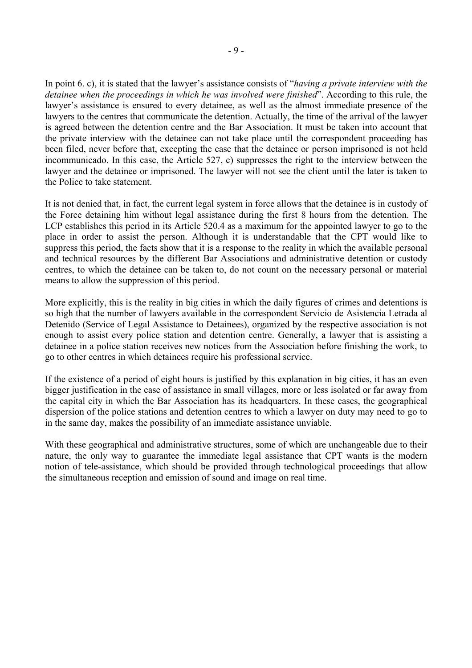In point 6. c), it is stated that the lawyer's assistance consists of "*having a private interview with the detainee when the proceedings in which he was involved were finished*". According to this rule, the lawyer's assistance is ensured to every detainee, as well as the almost immediate presence of the lawyers to the centres that communicate the detention. Actually, the time of the arrival of the lawyer is agreed between the detention centre and the Bar Association. It must be taken into account that the private interview with the detainee can not take place until the correspondent proceeding has been filed, never before that, excepting the case that the detainee or person imprisoned is not held incommunicado. In this case, the Article 527, c) suppresses the right to the interview between the lawyer and the detainee or imprisoned. The lawyer will not see the client until the later is taken to the Police to take statement.

It is not denied that, in fact, the current legal system in force allows that the detainee is in custody of the Force detaining him without legal assistance during the first 8 hours from the detention. The LCP establishes this period in its Article 520.4 as a maximum for the appointed lawyer to go to the place in order to assist the person. Although it is understandable that the CPT would like to suppress this period, the facts show that it is a response to the reality in which the available personal and technical resources by the different Bar Associations and administrative detention or custody centres, to which the detainee can be taken to, do not count on the necessary personal or material means to allow the suppression of this period.

More explicitly, this is the reality in big cities in which the daily figures of crimes and detentions is so high that the number of lawyers available in the correspondent Servicio de Asistencia Letrada al Detenido (Service of Legal Assistance to Detainees), organized by the respective association is not enough to assist every police station and detention centre. Generally, a lawyer that is assisting a detainee in a police station receives new notices from the Association before finishing the work, to go to other centres in which detainees require his professional service.

If the existence of a period of eight hours is justified by this explanation in big cities, it has an even bigger justification in the case of assistance in small villages, more or less isolated or far away from the capital city in which the Bar Association has its headquarters. In these cases, the geographical dispersion of the police stations and detention centres to which a lawyer on duty may need to go to in the same day, makes the possibility of an immediate assistance unviable.

With these geographical and administrative structures, some of which are unchangeable due to their nature, the only way to guarantee the immediate legal assistance that CPT wants is the modern notion of tele-assistance, which should be provided through technological proceedings that allow the simultaneous reception and emission of sound and image on real time.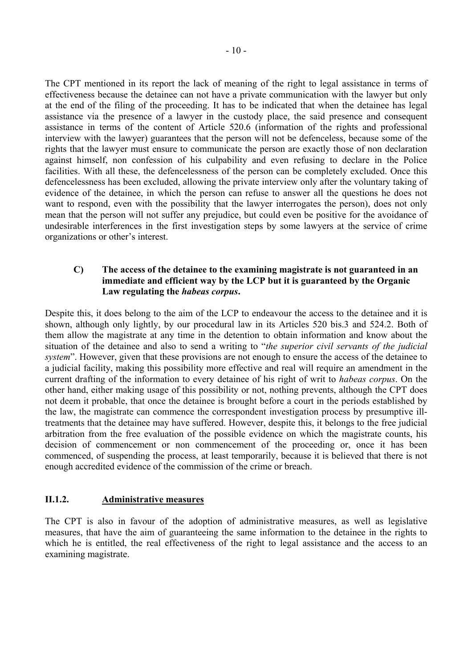<span id="page-9-0"></span>The CPT mentioned in its report the lack of meaning of the right to legal assistance in terms of effectiveness because the detainee can not have a private communication with the lawyer but only at the end of the filing of the proceeding. It has to be indicated that when the detainee has legal assistance via the presence of a lawyer in the custody place, the said presence and consequent assistance in terms of the content of Article 520.6 (information of the rights and professional interview with the lawyer) guarantees that the person will not be defenceless, because some of the rights that the lawyer must ensure to communicate the person are exactly those of non declaration against himself, non confession of his culpability and even refusing to declare in the Police facilities. With all these, the defencelessness of the person can be completely excluded. Once this defencelessness has been excluded, allowing the private interview only after the voluntary taking of evidence of the detainee, in which the person can refuse to answer all the questions he does not want to respond, even with the possibility that the lawyer interrogates the person), does not only mean that the person will not suffer any prejudice, but could even be positive for the avoidance of undesirable interferences in the first investigation steps by some lawyers at the service of crime organizations or other's interest.

#### **C) The access of the detainee to the examining magistrate is not guaranteed in an immediate and efficient way by the LCP but it is guaranteed by the Organic Law regulating the** *habeas corpus***.**

Despite this, it does belong to the aim of the LCP to endeavour the access to the detainee and it is shown, although only lightly, by our procedural law in its Articles 520 bis.3 and 524.2. Both of them allow the magistrate at any time in the detention to obtain information and know about the situation of the detainee and also to send a writing to "*the superior civil servants of the judicial system*". However, given that these provisions are not enough to ensure the access of the detainee to a judicial facility, making this possibility more effective and real will require an amendment in the current drafting of the information to every detainee of his right of writ to *habeas corpus*. On the other hand, either making usage of this possibility or not, nothing prevents, although the CPT does not deem it probable, that once the detainee is brought before a court in the periods established by the law, the magistrate can commence the correspondent investigation process by presumptive illtreatments that the detainee may have suffered. However, despite this, it belongs to the free judicial arbitration from the free evaluation of the possible evidence on which the magistrate counts, his decision of commencement or non commencement of the proceeding or, once it has been commenced, of suspending the process, at least temporarily, because it is believed that there is not enough accredited evidence of the commission of the crime or breach.

# **II.1.2. Administrative measures**

The CPT is also in favour of the adoption of administrative measures, as well as legislative measures, that have the aim of guaranteeing the same information to the detainee in the rights to which he is entitled, the real effectiveness of the right to legal assistance and the access to an examining magistrate.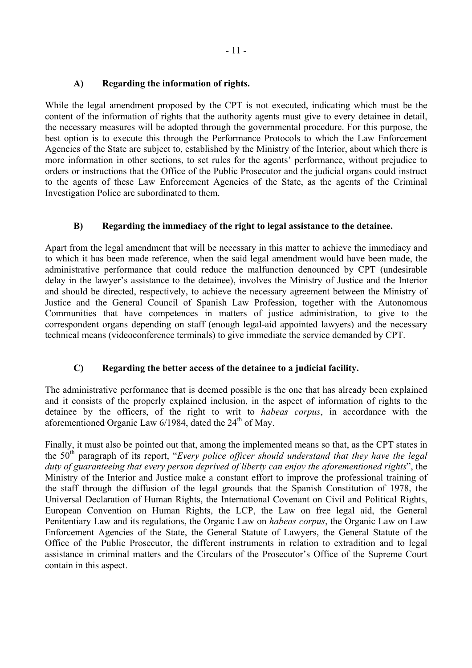### <span id="page-10-0"></span>**A) Regarding the information of rights.**

While the legal amendment proposed by the CPT is not executed, indicating which must be the content of the information of rights that the authority agents must give to every detainee in detail, the necessary measures will be adopted through the governmental procedure. For this purpose, the best option is to execute this through the Performance Protocols to which the Law Enforcement Agencies of the State are subject to, established by the Ministry of the Interior, about which there is more information in other sections, to set rules for the agents' performance, without prejudice to orders or instructions that the Office of the Public Prosecutor and the judicial organs could instruct to the agents of these Law Enforcement Agencies of the State, as the agents of the Criminal Investigation Police are subordinated to them.

# **B) Regarding the immediacy of the right to legal assistance to the detainee.**

Apart from the legal amendment that will be necessary in this matter to achieve the immediacy and to which it has been made reference, when the said legal amendment would have been made, the administrative performance that could reduce the malfunction denounced by CPT (undesirable delay in the lawyer's assistance to the detainee), involves the Ministry of Justice and the Interior and should be directed, respectively, to achieve the necessary agreement between the Ministry of Justice and the General Council of Spanish Law Profession, together with the Autonomous Communities that have competences in matters of justice administration, to give to the correspondent organs depending on staff (enough legal-aid appointed lawyers) and the necessary technical means (videoconference terminals) to give immediate the service demanded by CPT.

# **C) Regarding the better access of the detainee to a judicial facility.**

The administrative performance that is deemed possible is the one that has already been explained and it consists of the properly explained inclusion, in the aspect of information of rights to the detainee by the officers, of the right to writ to *habeas corpus*, in accordance with the aforementioned Organic Law  $6/1984$ , dated the  $24<sup>th</sup>$  of May.

Finally, it must also be pointed out that, among the implemented means so that, as the CPT states in the 50<sup>th</sup> paragraph of its report, "*Every police officer should understand that they have the legal duty of guaranteeing that every person deprived of liberty can enjoy the aforementioned rights*", the Ministry of the Interior and Justice make a constant effort to improve the professional training of the staff through the diffusion of the legal grounds that the Spanish Constitution of 1978, the Universal Declaration of Human Rights, the International Covenant on Civil and Political Rights, European Convention on Human Rights, the LCP, the Law on free legal aid, the General Penitentiary Law and its regulations, the Organic Law on *habeas corpus*, the Organic Law on Law Enforcement Agencies of the State, the General Statute of Lawyers, the General Statute of the Office of the Public Prosecutor, the different instruments in relation to extradition and to legal assistance in criminal matters and the Circulars of the Prosecutor's Office of the Supreme Court contain in this aspect.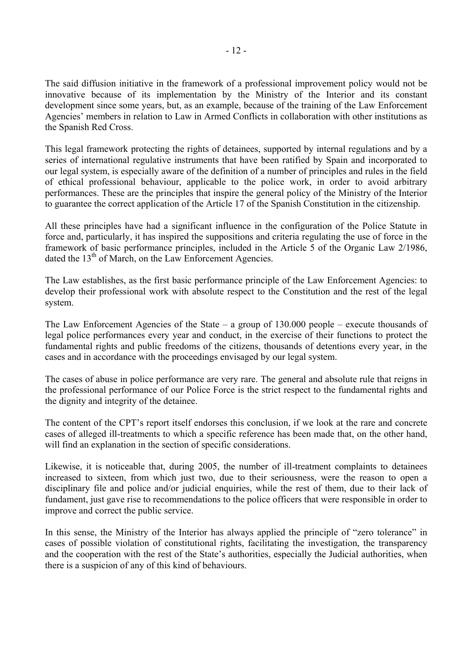The said diffusion initiative in the framework of a professional improvement policy would not be innovative because of its implementation by the Ministry of the Interior and its constant development since some years, but, as an example, because of the training of the Law Enforcement Agencies' members in relation to Law in Armed Conflicts in collaboration with other institutions as the Spanish Red Cross.

This legal framework protecting the rights of detainees, supported by internal regulations and by a series of international regulative instruments that have been ratified by Spain and incorporated to our legal system, is especially aware of the definition of a number of principles and rules in the field of ethical professional behaviour, applicable to the police work, in order to avoid arbitrary performances. These are the principles that inspire the general policy of the Ministry of the Interior to guarantee the correct application of the Article 17 of the Spanish Constitution in the citizenship.

All these principles have had a significant influence in the configuration of the Police Statute in force and, particularly, it has inspired the suppositions and criteria regulating the use of force in the framework of basic performance principles, included in the Article 5 of the Organic Law 2/1986, dated the 13<sup>th</sup> of March, on the Law Enforcement Agencies.

The Law establishes, as the first basic performance principle of the Law Enforcement Agencies: to develop their professional work with absolute respect to the Constitution and the rest of the legal system.

The Law Enforcement Agencies of the State – a group of 130.000 people – execute thousands of legal police performances every year and conduct, in the exercise of their functions to protect the fundamental rights and public freedoms of the citizens, thousands of detentions every year, in the cases and in accordance with the proceedings envisaged by our legal system.

The cases of abuse in police performance are very rare. The general and absolute rule that reigns in the professional performance of our Police Force is the strict respect to the fundamental rights and the dignity and integrity of the detainee.

The content of the CPT's report itself endorses this conclusion, if we look at the rare and concrete cases of alleged ill-treatments to which a specific reference has been made that, on the other hand, will find an explanation in the section of specific considerations.

Likewise, it is noticeable that, during 2005, the number of ill-treatment complaints to detainees increased to sixteen, from which just two, due to their seriousness, were the reason to open a disciplinary file and police and/or judicial enquiries, while the rest of them, due to their lack of fundament, just gave rise to recommendations to the police officers that were responsible in order to improve and correct the public service.

In this sense, the Ministry of the Interior has always applied the principle of "zero tolerance" in cases of possible violation of constitutional rights, facilitating the investigation, the transparency and the cooperation with the rest of the State's authorities, especially the Judicial authorities, when there is a suspicion of any of this kind of behaviours.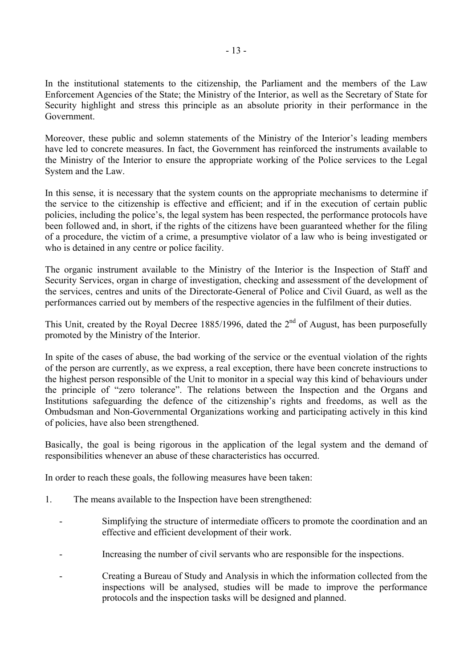In the institutional statements to the citizenship, the Parliament and the members of the Law Enforcement Agencies of the State; the Ministry of the Interior, as well as the Secretary of State for Security highlight and stress this principle as an absolute priority in their performance in the Government.

Moreover, these public and solemn statements of the Ministry of the Interior's leading members have led to concrete measures. In fact, the Government has reinforced the instruments available to the Ministry of the Interior to ensure the appropriate working of the Police services to the Legal System and the Law.

In this sense, it is necessary that the system counts on the appropriate mechanisms to determine if the service to the citizenship is effective and efficient; and if in the execution of certain public policies, including the police's, the legal system has been respected, the performance protocols have been followed and, in short, if the rights of the citizens have been guaranteed whether for the filing of a procedure, the victim of a crime, a presumptive violator of a law who is being investigated or who is detained in any centre or police facility.

The organic instrument available to the Ministry of the Interior is the Inspection of Staff and Security Services, organ in charge of investigation, checking and assessment of the development of the services, centres and units of the Directorate-General of Police and Civil Guard, as well as the performances carried out by members of the respective agencies in the fulfilment of their duties.

This Unit, created by the Royal Decree 1885/1996, dated the  $2<sup>nd</sup>$  of August, has been purposefully promoted by the Ministry of the Interior.

In spite of the cases of abuse, the bad working of the service or the eventual violation of the rights of the person are currently, as we express, a real exception, there have been concrete instructions to the highest person responsible of the Unit to monitor in a special way this kind of behaviours under the principle of "zero tolerance". The relations between the Inspection and the Organs and Institutions safeguarding the defence of the citizenship's rights and freedoms, as well as the Ombudsman and Non-Governmental Organizations working and participating actively in this kind of policies, have also been strengthened.

Basically, the goal is being rigorous in the application of the legal system and the demand of responsibilities whenever an abuse of these characteristics has occurred.

In order to reach these goals, the following measures have been taken:

- 1. The means available to the Inspection have been strengthened:
	- Simplifying the structure of intermediate officers to promote the coordination and an effective and efficient development of their work.
	- Increasing the number of civil servants who are responsible for the inspections.
	- Creating a Bureau of Study and Analysis in which the information collected from the inspections will be analysed, studies will be made to improve the performance protocols and the inspection tasks will be designed and planned.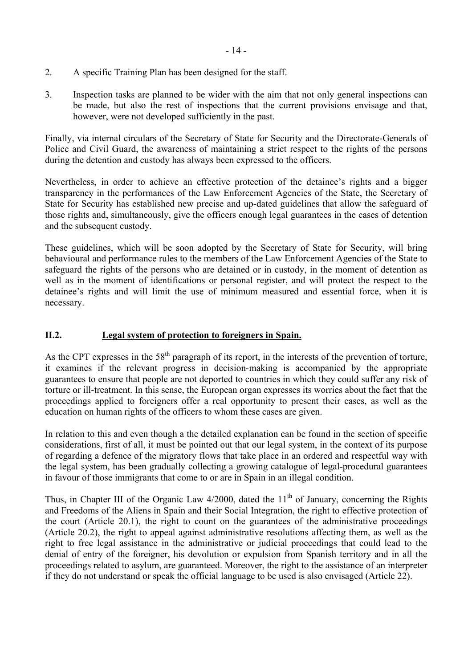- <span id="page-13-0"></span>2. A specific Training Plan has been designed for the staff.
- 3. Inspection tasks are planned to be wider with the aim that not only general inspections can be made, but also the rest of inspections that the current provisions envisage and that, however, were not developed sufficiently in the past.

Finally, via internal circulars of the Secretary of State for Security and the Directorate-Generals of Police and Civil Guard, the awareness of maintaining a strict respect to the rights of the persons during the detention and custody has always been expressed to the officers.

Nevertheless, in order to achieve an effective protection of the detainee's rights and a bigger transparency in the performances of the Law Enforcement Agencies of the State, the Secretary of State for Security has established new precise and up-dated guidelines that allow the safeguard of those rights and, simultaneously, give the officers enough legal guarantees in the cases of detention and the subsequent custody.

These guidelines, which will be soon adopted by the Secretary of State for Security, will bring behavioural and performance rules to the members of the Law Enforcement Agencies of the State to safeguard the rights of the persons who are detained or in custody, in the moment of detention as well as in the moment of identifications or personal register, and will protect the respect to the detainee's rights and will limit the use of minimum measured and essential force, when it is necessary.

# **II.2. Legal system of protection to foreigners in Spain.**

As the CPT expresses in the  $58<sup>th</sup>$  paragraph of its report, in the interests of the prevention of torture, it examines if the relevant progress in decision-making is accompanied by the appropriate guarantees to ensure that people are not deported to countries in which they could suffer any risk of torture or ill-treatment. In this sense, the European organ expresses its worries about the fact that the proceedings applied to foreigners offer a real opportunity to present their cases, as well as the education on human rights of the officers to whom these cases are given.

In relation to this and even though a the detailed explanation can be found in the section of specific considerations, first of all, it must be pointed out that our legal system, in the context of its purpose of regarding a defence of the migratory flows that take place in an ordered and respectful way with the legal system, has been gradually collecting a growing catalogue of legal-procedural guarantees in favour of those immigrants that come to or are in Spain in an illegal condition.

Thus, in Chapter III of the Organic Law  $4/2000$ , dated the  $11<sup>th</sup>$  of January, concerning the Rights and Freedoms of the Aliens in Spain and their Social Integration, the right to effective protection of the court (Article 20.1), the right to count on the guarantees of the administrative proceedings (Article 20.2), the right to appeal against administrative resolutions affecting them, as well as the right to free legal assistance in the administrative or judicial proceedings that could lead to the denial of entry of the foreigner, his devolution or expulsion from Spanish territory and in all the proceedings related to asylum, are guaranteed. Moreover, the right to the assistance of an interpreter if they do not understand or speak the official language to be used is also envisaged (Article 22).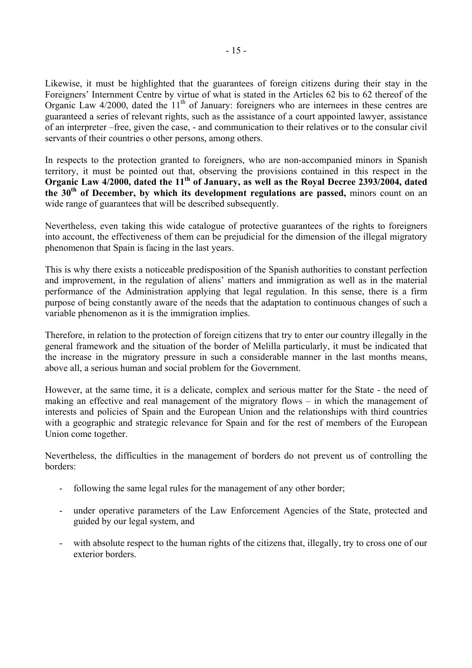Likewise, it must be highlighted that the guarantees of foreign citizens during their stay in the Foreigners' Internment Centre by virtue of what is stated in the Articles 62 bis to 62 thereof of the Organic Law  $4/2000$ , dated the  $11<sup>th</sup>$  of January: foreigners who are internees in these centres are guaranteed a series of relevant rights, such as the assistance of a court appointed lawyer, assistance of an interpreter –free, given the case, - and communication to their relatives or to the consular civil servants of their countries o other persons, among others.

In respects to the protection granted to foreigners, who are non-accompanied minors in Spanish territory, it must be pointed out that, observing the provisions contained in this respect in the **Organic Law 4/2000, dated the 11th of January, as well as the Royal Decree 2393/2004, dated the 30th of December, by which its development regulations are passed,** minors count on an wide range of guarantees that will be described subsequently.

Nevertheless, even taking this wide catalogue of protective guarantees of the rights to foreigners into account, the effectiveness of them can be prejudicial for the dimension of the illegal migratory phenomenon that Spain is facing in the last years.

This is why there exists a noticeable predisposition of the Spanish authorities to constant perfection and improvement, in the regulation of aliens' matters and immigration as well as in the material performance of the Administration applying that legal regulation. In this sense, there is a firm purpose of being constantly aware of the needs that the adaptation to continuous changes of such a variable phenomenon as it is the immigration implies.

Therefore, in relation to the protection of foreign citizens that try to enter our country illegally in the general framework and the situation of the border of Melilla particularly, it must be indicated that the increase in the migratory pressure in such a considerable manner in the last months means, above all, a serious human and social problem for the Government.

However, at the same time, it is a delicate, complex and serious matter for the State - the need of making an effective and real management of the migratory flows – in which the management of interests and policies of Spain and the European Union and the relationships with third countries with a geographic and strategic relevance for Spain and for the rest of members of the European Union come together.

Nevertheless, the difficulties in the management of borders do not prevent us of controlling the borders:

- following the same legal rules for the management of any other border;
- under operative parameters of the Law Enforcement Agencies of the State, protected and guided by our legal system, and
- with absolute respect to the human rights of the citizens that, illegally, try to cross one of our exterior borders.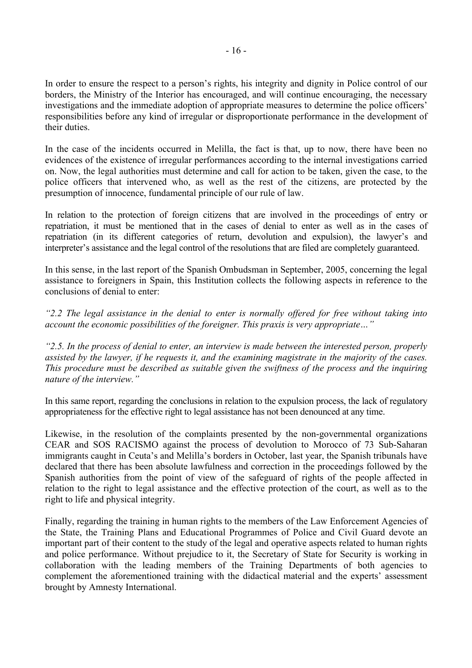In order to ensure the respect to a person's rights, his integrity and dignity in Police control of our borders, the Ministry of the Interior has encouraged, and will continue encouraging, the necessary investigations and the immediate adoption of appropriate measures to determine the police officers' responsibilities before any kind of irregular or disproportionate performance in the development of their duties.

In the case of the incidents occurred in Melilla, the fact is that, up to now, there have been no evidences of the existence of irregular performances according to the internal investigations carried on. Now, the legal authorities must determine and call for action to be taken, given the case, to the police officers that intervened who, as well as the rest of the citizens, are protected by the presumption of innocence, fundamental principle of our rule of law.

In relation to the protection of foreign citizens that are involved in the proceedings of entry or repatriation, it must be mentioned that in the cases of denial to enter as well as in the cases of repatriation (in its different categories of return, devolution and expulsion), the lawyer's and interpreter's assistance and the legal control of the resolutions that are filed are completely guaranteed.

In this sense, in the last report of the Spanish Ombudsman in September, 2005, concerning the legal assistance to foreigners in Spain, this Institution collects the following aspects in reference to the conclusions of denial to enter:

*"2.2 The legal assistance in the denial to enter is normally offered for free without taking into account the economic possibilities of the foreigner. This praxis is very appropriate…"* 

*"2.5. In the process of denial to enter, an interview is made between the interested person, properly assisted by the lawyer, if he requests it, and the examining magistrate in the majority of the cases. This procedure must be described as suitable given the swiftness of the process and the inquiring nature of the interview."* 

In this same report, regarding the conclusions in relation to the expulsion process, the lack of regulatory appropriateness for the effective right to legal assistance has not been denounced at any time.

Likewise, in the resolution of the complaints presented by the non-governmental organizations CEAR and SOS RACISMO against the process of devolution to Morocco of 73 Sub-Saharan immigrants caught in Ceuta's and Melilla's borders in October, last year, the Spanish tribunals have declared that there has been absolute lawfulness and correction in the proceedings followed by the Spanish authorities from the point of view of the safeguard of rights of the people affected in relation to the right to legal assistance and the effective protection of the court, as well as to the right to life and physical integrity.

Finally, regarding the training in human rights to the members of the Law Enforcement Agencies of the State, the Training Plans and Educational Programmes of Police and Civil Guard devote an important part of their content to the study of the legal and operative aspects related to human rights and police performance. Without prejudice to it, the Secretary of State for Security is working in collaboration with the leading members of the Training Departments of both agencies to complement the aforementioned training with the didactical material and the experts' assessment brought by Amnesty International.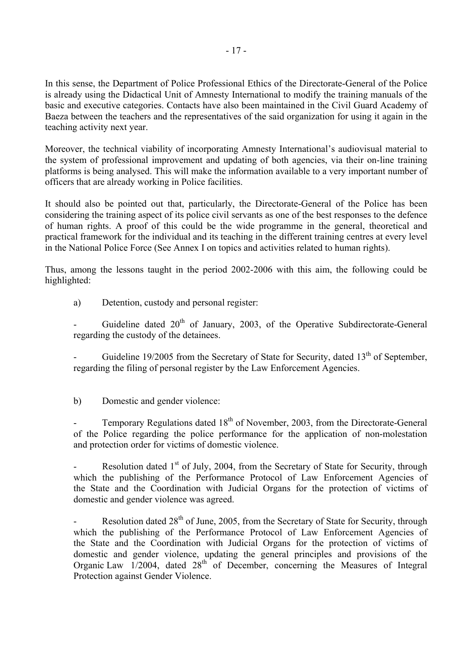In this sense, the Department of Police Professional Ethics of the Directorate-General of the Police is already using the Didactical Unit of Amnesty International to modify the training manuals of the basic and executive categories. Contacts have also been maintained in the Civil Guard Academy of Baeza between the teachers and the representatives of the said organization for using it again in the teaching activity next year.

Moreover, the technical viability of incorporating Amnesty International's audiovisual material to the system of professional improvement and updating of both agencies, via their on-line training platforms is being analysed. This will make the information available to a very important number of officers that are already working in Police facilities.

It should also be pointed out that, particularly, the Directorate-General of the Police has been considering the training aspect of its police civil servants as one of the best responses to the defence of human rights. A proof of this could be the wide programme in the general, theoretical and practical framework for the individual and its teaching in the different training centres at every level in the National Police Force (See Annex I on topics and activities related to human rights).

Thus, among the lessons taught in the period 2002-2006 with this aim, the following could be highlighted:

a) Detention, custody and personal register:

Guideline dated  $20<sup>th</sup>$  of January, 2003, of the Operative Subdirectorate-General regarding the custody of the detainees.

Guideline 19/2005 from the Secretary of State for Security, dated  $13<sup>th</sup>$  of September, regarding the filing of personal register by the Law Enforcement Agencies.

b) Domestic and gender violence:

Temporary Regulations dated 18<sup>th</sup> of November, 2003, from the Directorate-General of the Police regarding the police performance for the application of non-molestation and protection order for victims of domestic violence.

Resolution dated  $1<sup>st</sup>$  of July, 2004, from the Secretary of State for Security, through which the publishing of the Performance Protocol of Law Enforcement Agencies of the State and the Coordination with Judicial Organs for the protection of victims of domestic and gender violence was agreed.

Resolution dated  $28<sup>th</sup>$  of June, 2005, from the Secretary of State for Security, through which the publishing of the Performance Protocol of Law Enforcement Agencies of the State and the Coordination with Judicial Organs for the protection of victims of domestic and gender violence, updating the general principles and provisions of the Organic Law  $1/2004$ , dated  $28<sup>th</sup>$  of December, concerning the Measures of Integral Protection against Gender Violence.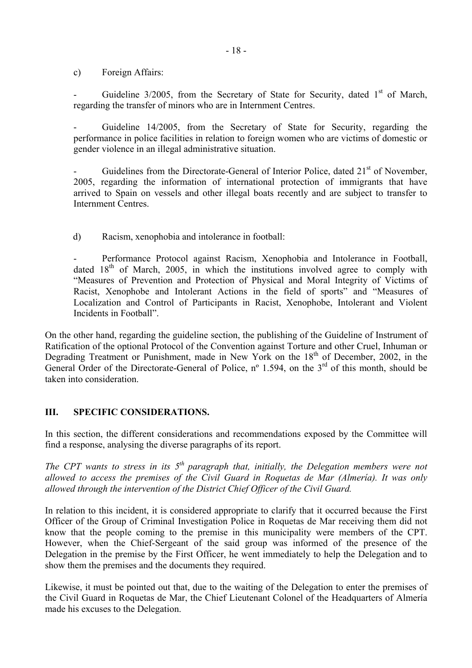<span id="page-17-0"></span>c) Foreign Affairs:

Guideline  $3/2005$ , from the Secretary of State for Security, dated  $1<sup>st</sup>$  of March, regarding the transfer of minors who are in Internment Centres.

Guideline 14/2005, from the Secretary of State for Security, regarding the performance in police facilities in relation to foreign women who are victims of domestic or gender violence in an illegal administrative situation.

Guidelines from the Directorate-General of Interior Police, dated 21<sup>st</sup> of November. 2005, regarding the information of international protection of immigrants that have arrived to Spain on vessels and other illegal boats recently and are subject to transfer to Internment Centres.

d) Racism, xenophobia and intolerance in football:

Performance Protocol against Racism, Xenophobia and Intolerance in Football, dated  $18<sup>th</sup>$  of March, 2005, in which the institutions involved agree to comply with "Measures of Prevention and Protection of Physical and Moral Integrity of Victims of Racist, Xenophobe and Intolerant Actions in the field of sports" and "Measures of Localization and Control of Participants in Racist, Xenophobe, Intolerant and Violent Incidents in Football".

On the other hand, regarding the guideline section, the publishing of the Guideline of Instrument of Ratification of the optional Protocol of the Convention against Torture and other Cruel, Inhuman or Degrading Treatment or Punishment, made in New York on the 18<sup>th</sup> of December, 2002, in the General Order of the Directorate-General of Police, nº 1.594, on the 3<sup>rd</sup> of this month, should be taken into consideration.

# **III. SPECIFIC CONSIDERATIONS.**

In this section, the different considerations and recommendations exposed by the Committee will find a response, analysing the diverse paragraphs of its report.

*The CPT wants to stress in its 5th paragraph that, initially, the Delegation members were not allowed to access the premises of the Civil Guard in Roquetas de Mar (Almería). It was only allowed through the intervention of the District Chief Officer of the Civil Guard.* 

In relation to this incident, it is considered appropriate to clarify that it occurred because the First Officer of the Group of Criminal Investigation Police in Roquetas de Mar receiving them did not know that the people coming to the premise in this municipality were members of the CPT. However, when the Chief-Sergeant of the said group was informed of the presence of the Delegation in the premise by the First Officer, he went immediately to help the Delegation and to show them the premises and the documents they required.

Likewise, it must be pointed out that, due to the waiting of the Delegation to enter the premises of the Civil Guard in Roquetas de Mar, the Chief Lieutenant Colonel of the Headquarters of Almería made his excuses to the Delegation.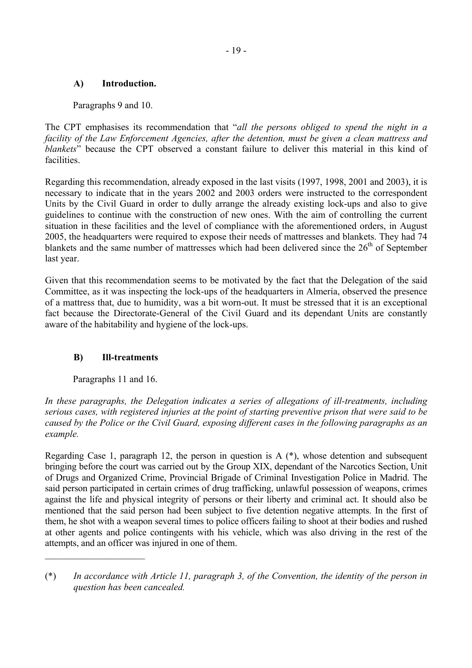# <span id="page-18-0"></span>**A) Introduction.**

Paragraphs 9 and 10.

The CPT emphasises its recommendation that "*all the persons obliged to spend the night in a facility of the Law Enforcement Agencies, after the detention, must be given a clean mattress and blankets*" because the CPT observed a constant failure to deliver this material in this kind of facilities.

Regarding this recommendation, already exposed in the last visits (1997, 1998, 2001 and 2003), it is necessary to indicate that in the years 2002 and 2003 orders were instructed to the correspondent Units by the Civil Guard in order to dully arrange the already existing lock-ups and also to give guidelines to continue with the construction of new ones. With the aim of controlling the current situation in these facilities and the level of compliance with the aforementioned orders, in August 2005, the headquarters were required to expose their needs of mattresses and blankets. They had 74 blankets and the same number of mattresses which had been delivered since the  $26<sup>th</sup>$  of September last year.

Given that this recommendation seems to be motivated by the fact that the Delegation of the said Committee, as it was inspecting the lock-ups of the headquarters in Almería, observed the presence of a mattress that, due to humidity, was a bit worn-out. It must be stressed that it is an exceptional fact because the Directorate-General of the Civil Guard and its dependant Units are constantly aware of the habitability and hygiene of the lock-ups.

# **B) Ill-treatments**

Paragraphs 11 and 16.

 $\mathcal{L}_\text{max}$  , where  $\mathcal{L}_\text{max}$  , we have the set of  $\mathcal{L}_\text{max}$ 

*In these paragraphs, the Delegation indicates a series of allegations of ill-treatments, including serious cases, with registered injuries at the point of starting preventive prison that were said to be caused by the Police or the Civil Guard, exposing different cases in the following paragraphs as an example.* 

Regarding Case 1, paragraph 12, the person in question is A (\*), whose detention and subsequent bringing before the court was carried out by the Group XIX, dependant of the Narcotics Section, Unit of Drugs and Organized Crime, Provincial Brigade of Criminal Investigation Police in Madrid. The said person participated in certain crimes of drug trafficking, unlawful possession of weapons, crimes against the life and physical integrity of persons or their liberty and criminal act. It should also be mentioned that the said person had been subject to five detention negative attempts. In the first of them, he shot with a weapon several times to police officers failing to shoot at their bodies and rushed at other agents and police contingents with his vehicle, which was also driving in the rest of the attempts, and an officer was injured in one of them.

<sup>(\*)</sup> *In accordance with Article 11, paragraph 3, of the Convention, the identity of the person in question has been cancealed.*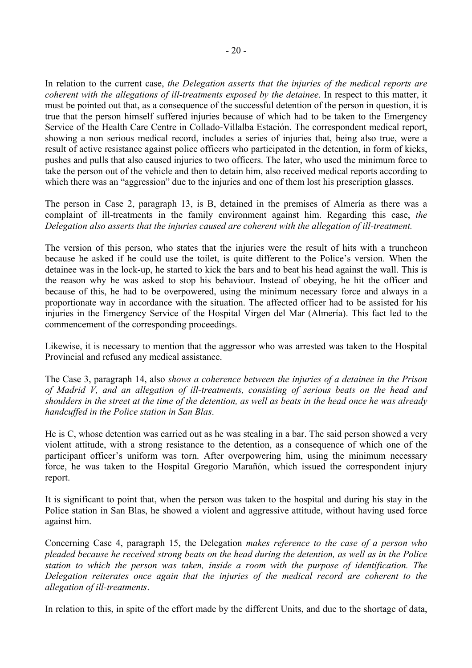In relation to the current case, *the Delegation asserts that the injuries of the medical reports are coherent with the allegations of ill-treatments exposed by the detainee*. In respect to this matter, it must be pointed out that, as a consequence of the successful detention of the person in question, it is true that the person himself suffered injuries because of which had to be taken to the Emergency Service of the Health Care Centre in Collado-Villalba Estación. The correspondent medical report, showing a non serious medical record, includes a series of injuries that, being also true, were a result of active resistance against police officers who participated in the detention, in form of kicks, pushes and pulls that also caused injuries to two officers. The later, who used the minimum force to take the person out of the vehicle and then to detain him, also received medical reports according to which there was an "aggression" due to the injuries and one of them lost his prescription glasses.

The person in Case 2, paragraph 13, is B, detained in the premises of Almería as there was a complaint of ill-treatments in the family environment against him. Regarding this case, *the Delegation also asserts that the injuries caused are coherent with the allegation of ill-treatment.*

The version of this person, who states that the injuries were the result of hits with a truncheon because he asked if he could use the toilet, is quite different to the Police's version. When the detainee was in the lock-up, he started to kick the bars and to beat his head against the wall. This is the reason why he was asked to stop his behaviour. Instead of obeying, he hit the officer and because of this, he had to be overpowered, using the minimum necessary force and always in a proportionate way in accordance with the situation. The affected officer had to be assisted for his injuries in the Emergency Service of the Hospital Virgen del Mar (Almería). This fact led to the commencement of the corresponding proceedings.

Likewise, it is necessary to mention that the aggressor who was arrested was taken to the Hospital Provincial and refused any medical assistance.

The Case 3, paragraph 14, also *shows a coherence between the injuries of a detainee in the Prison of Madrid V, and an allegation of ill-treatments, consisting of serious beats on the head and shoulders in the street at the time of the detention, as well as beats in the head once he was already handcuffed in the Police station in San Blas*.

He is C, whose detention was carried out as he was stealing in a bar. The said person showed a very violent attitude, with a strong resistance to the detention, as a consequence of which one of the participant officer's uniform was torn. After overpowering him, using the minimum necessary force, he was taken to the Hospital Gregorio Marañón, which issued the correspondent injury report.

It is significant to point that, when the person was taken to the hospital and during his stay in the Police station in San Blas, he showed a violent and aggressive attitude, without having used force against him.

Concerning Case 4, paragraph 15, the Delegation *makes reference to the case of a person who pleaded because he received strong beats on the head during the detention, as well as in the Police station to which the person was taken, inside a room with the purpose of identification. The Delegation reiterates once again that the injuries of the medical record are coherent to the allegation of ill-treatments*.

In relation to this, in spite of the effort made by the different Units, and due to the shortage of data,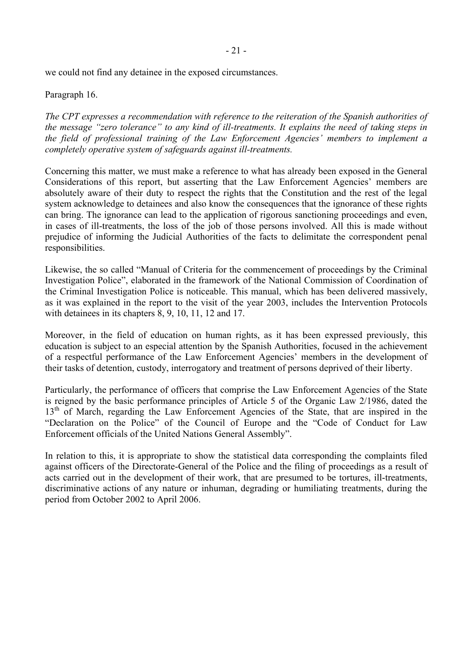we could not find any detainee in the exposed circumstances.

#### Paragraph 16.

*The CPT expresses a recommendation with reference to the reiteration of the Spanish authorities of the message "zero tolerance" to any kind of ill-treatments. It explains the need of taking steps in the field of professional training of the Law Enforcement Agencies' members to implement a completely operative system of safeguards against ill-treatments.* 

Concerning this matter, we must make a reference to what has already been exposed in the General Considerations of this report, but asserting that the Law Enforcement Agencies' members are absolutely aware of their duty to respect the rights that the Constitution and the rest of the legal system acknowledge to detainees and also know the consequences that the ignorance of these rights can bring. The ignorance can lead to the application of rigorous sanctioning proceedings and even, in cases of ill-treatments, the loss of the job of those persons involved. All this is made without prejudice of informing the Judicial Authorities of the facts to delimitate the correspondent penal responsibilities.

Likewise, the so called "Manual of Criteria for the commencement of proceedings by the Criminal Investigation Police", elaborated in the framework of the National Commission of Coordination of the Criminal Investigation Police is noticeable. This manual, which has been delivered massively, as it was explained in the report to the visit of the year 2003, includes the Intervention Protocols with detainees in its chapters 8, 9, 10, 11, 12 and 17.

Moreover, in the field of education on human rights, as it has been expressed previously, this education is subject to an especial attention by the Spanish Authorities, focused in the achievement of a respectful performance of the Law Enforcement Agencies' members in the development of their tasks of detention, custody, interrogatory and treatment of persons deprived of their liberty.

Particularly, the performance of officers that comprise the Law Enforcement Agencies of the State is reigned by the basic performance principles of Article 5 of the Organic Law 2/1986, dated the 13<sup>th</sup> of March, regarding the Law Enforcement Agencies of the State, that are inspired in the "Declaration on the Police" of the Council of Europe and the "Code of Conduct for Law Enforcement officials of the United Nations General Assembly".

In relation to this, it is appropriate to show the statistical data corresponding the complaints filed against officers of the Directorate-General of the Police and the filing of proceedings as a result of acts carried out in the development of their work, that are presumed to be tortures, ill-treatments, discriminative actions of any nature or inhuman, degrading or humiliating treatments, during the period from October 2002 to April 2006.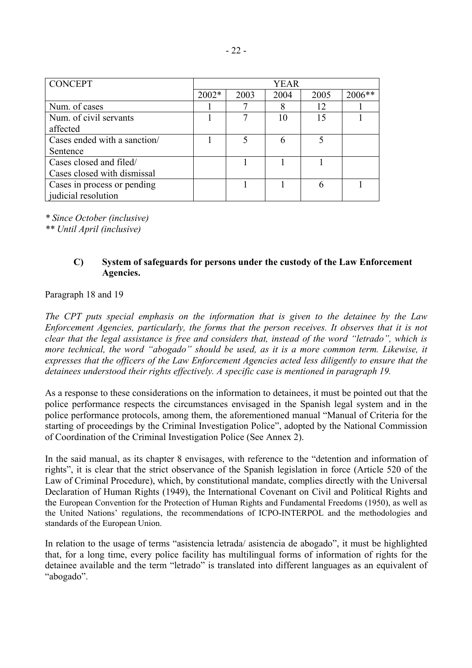<span id="page-21-0"></span>

| <b>CONCEPT</b>               | YEAR  |      |      |      |        |
|------------------------------|-------|------|------|------|--------|
|                              | 2002* | 2003 | 2004 | 2005 | 2006** |
| Num. of cases                |       |      |      | 12   |        |
| Num. of civil servants       |       |      | 10   | 15   |        |
| affected                     |       |      |      |      |        |
| Cases ended with a sanction/ |       |      |      | 5    |        |
| Sentence                     |       |      |      |      |        |
| Cases closed and filed/      |       |      |      |      |        |
| Cases closed with dismissal  |       |      |      |      |        |
| Cases in process or pending  |       |      |      |      |        |
| judicial resolution          |       |      |      |      |        |

*\* Since October (inclusive)* 

*\*\* Until April (inclusive)* 

## **C) System of safeguards for persons under the custody of the Law Enforcement Agencies.**

#### Paragraph 18 and 19

*The CPT puts special emphasis on the information that is given to the detainee by the Law Enforcement Agencies, particularly, the forms that the person receives. It observes that it is not clear that the legal assistance is free and considers that, instead of the word "letrado", which is more technical, the word "abogado" should be used, as it is a more common term. Likewise, it expresses that the officers of the Law Enforcement Agencies acted less diligently to ensure that the detainees understood their rights effectively. A specific case is mentioned in paragraph 19.* 

As a response to these considerations on the information to detainees, it must be pointed out that the police performance respects the circumstances envisaged in the Spanish legal system and in the police performance protocols, among them, the aforementioned manual "Manual of Criteria for the starting of proceedings by the Criminal Investigation Police", adopted by the National Commission of Coordination of the Criminal Investigation Police (See Annex 2).

In the said manual, as its chapter 8 envisages, with reference to the "detention and information of rights", it is clear that the strict observance of the Spanish legislation in force (Article 520 of the Law of Criminal Procedure), which, by constitutional mandate, complies directly with the Universal Declaration of Human Rights (1949), the International Covenant on Civil and Political Rights and the European Convention for the Protection of Human Rights and Fundamental Freedoms (1950), as well as the United Nations' regulations, the recommendations of ICPO-INTERPOL and the methodologies and standards of the European Union.

In relation to the usage of terms "asistencia letrada/ asistencia de abogado", it must be highlighted that, for a long time, every police facility has multilingual forms of information of rights for the detainee available and the term "letrado" is translated into different languages as an equivalent of "abogado".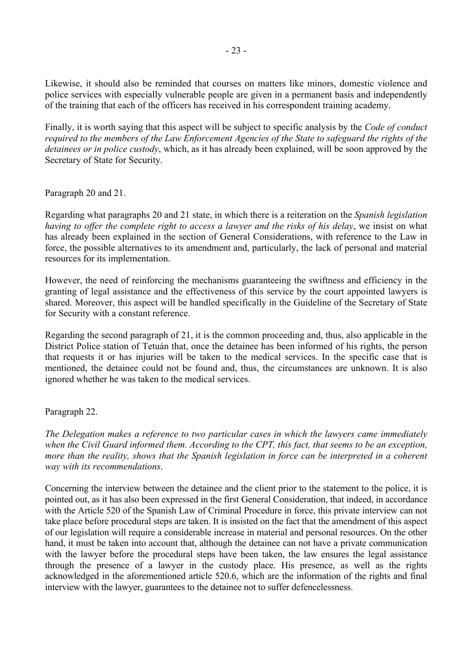Likewise, it should also be reminded that courses on matters like minors, domestic violence and police services with especially vulnerable people are given in a permanent basis and independently of the training that each of the officers has received in his correspondent training academy.

Finally, it is worth saying that this aspect will be subject to specific analysis by the *Code of conduct required to the members of the Law Enforcement Agencies of the State to safeguard the rights of the detainees or in police custody*, which, as it has already been explained, will be soon approved by the Secretary of State for Security.

#### Paragraph 20 and 21.

Regarding what paragraphs 20 and 21 state, in which there is a reiteration on the *Spanish legislation having to offer the complete right to access a lawyer and the risks of his delay*, we insist on what has already been explained in the section of General Considerations, with reference to the Law in force, the possible alternatives to its amendment and, particularly, the lack of personal and material resources for its implementation.

However, the need of reinforcing the mechanisms guaranteeing the swiftness and efficiency in the granting of legal assistance and the effectiveness of this service by the court appointed lawyers is shared. Moreover, this aspect will be handled specifically in the Guideline of the Secretary of State for Security with a constant reference.

Regarding the second paragraph of 21, it is the common proceeding and, thus, also applicable in the District Police station of Tetuán that, once the detainee has been informed of his rights, the person that requests it or has injuries will be taken to the medical services. In the specific case that is mentioned, the detainee could not be found and, thus, the circumstances are unknown. It is also ignored whether he was taken to the medical services.

# Paragraph 22.

*The Delegation makes a reference to two particular cases in which the lawyers came immediately when the Civil Guard informed them. According to the CPT, this fact, that seems to be an exception, more than the reality, shows that the Spanish legislation in force can be interpreted in a coherent way with its recommendations*.

Concerning the interview between the detainee and the client prior to the statement to the police, it is pointed out, as it has also been expressed in the first General Consideration, that indeed, in accordance with the Article 520 of the Spanish Law of Criminal Procedure in force, this private interview can not take place before procedural steps are taken. It is insisted on the fact that the amendment of this aspect of our legislation will require a considerable increase in material and personal resources. On the other hand, it must be taken into account that, although the detainee can not have a private communication with the lawyer before the procedural steps have been taken, the law ensures the legal assistance through the presence of a lawyer in the custody place. His presence, as well as the rights acknowledged in the aforementioned article 520.6, which are the information of the rights and final interview with the lawyer, guarantees to the detainee not to suffer defencelessness.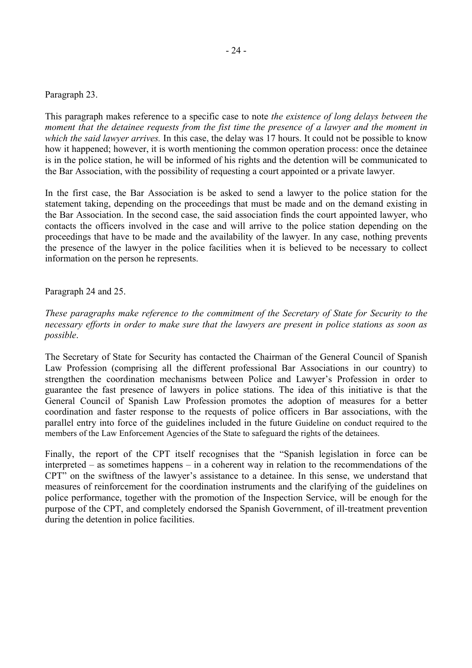#### Paragraph 23.

This paragraph makes reference to a specific case to note *the existence of long delays between the moment that the detainee requests from the fist time the presence of a lawyer and the moment in which the said lawyer arrives.* In this case, the delay was 17 hours. It could not be possible to know how it happened; however, it is worth mentioning the common operation process: once the detainee is in the police station, he will be informed of his rights and the detention will be communicated to the Bar Association, with the possibility of requesting a court appointed or a private lawyer.

In the first case, the Bar Association is be asked to send a lawyer to the police station for the statement taking, depending on the proceedings that must be made and on the demand existing in the Bar Association. In the second case, the said association finds the court appointed lawyer, who contacts the officers involved in the case and will arrive to the police station depending on the proceedings that have to be made and the availability of the lawyer. In any case, nothing prevents the presence of the lawyer in the police facilities when it is believed to be necessary to collect information on the person he represents.

Paragraph 24 and 25.

*These paragraphs make reference to the commitment of the Secretary of State for Security to the necessary efforts in order to make sure that the lawyers are present in police stations as soon as possible*.

The Secretary of State for Security has contacted the Chairman of the General Council of Spanish Law Profession (comprising all the different professional Bar Associations in our country) to strengthen the coordination mechanisms between Police and Lawyer's Profession in order to guarantee the fast presence of lawyers in police stations. The idea of this initiative is that the General Council of Spanish Law Profession promotes the adoption of measures for a better coordination and faster response to the requests of police officers in Bar associations, with the parallel entry into force of the guidelines included in the future Guideline on conduct required to the members of the Law Enforcement Agencies of the State to safeguard the rights of the detainees.

Finally, the report of the CPT itself recognises that the "Spanish legislation in force can be interpreted – as sometimes happens – in a coherent way in relation to the recommendations of the CPT" on the swiftness of the lawyer's assistance to a detainee. In this sense, we understand that measures of reinforcement for the coordination instruments and the clarifying of the guidelines on police performance, together with the promotion of the Inspection Service, will be enough for the purpose of the CPT, and completely endorsed the Spanish Government, of ill-treatment prevention during the detention in police facilities.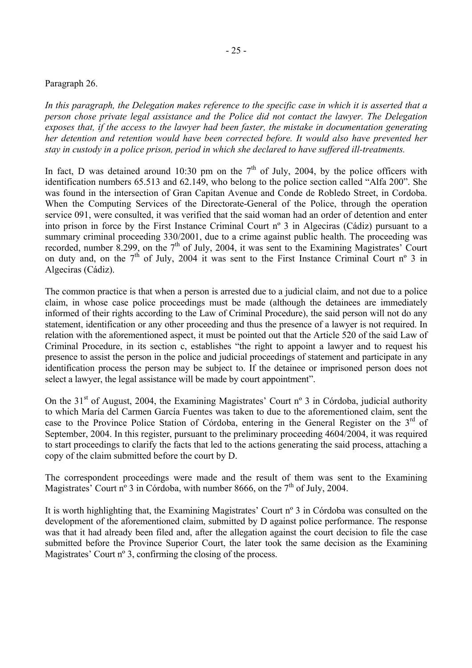#### Paragraph 26.

*In this paragraph, the Delegation makes reference to the specific case in which it is asserted that a person chose private legal assistance and the Police did not contact the lawyer. The Delegation exposes that, if the access to the lawyer had been faster, the mistake in documentation generating her detention and retention would have been corrected before. It would also have prevented her stay in custody in a police prison, period in which she declared to have suffered ill-treatments.* 

In fact, D was detained around 10:30 pm on the  $7<sup>th</sup>$  of July, 2004, by the police officers with identification numbers 65.513 and 62.149, who belong to the police section called "Alfa 200". She was found in the intersection of Gran Capitan Avenue and Conde de Robledo Street, in Cordoba. When the Computing Services of the Directorate-General of the Police, through the operation service 091, were consulted, it was verified that the said woman had an order of detention and enter into prison in force by the First Instance Criminal Court nº 3 in Algeciras (Cádiz) pursuant to a summary criminal proceeding 330/2001, due to a crime against public health. The proceeding was recorded, number 8.299, on the 7<sup>th</sup> of July, 2004, it was sent to the Examining Magistrates' Court on duty and, on the  $7<sup>th</sup>$  of July, 2004 it was sent to the First Instance Criminal Court n° 3 in Algeciras (Cádiz).

The common practice is that when a person is arrested due to a judicial claim, and not due to a police claim, in whose case police proceedings must be made (although the detainees are immediately informed of their rights according to the Law of Criminal Procedure), the said person will not do any statement, identification or any other proceeding and thus the presence of a lawyer is not required. In relation with the aforementioned aspect, it must be pointed out that the Article 520 of the said Law of Criminal Procedure, in its section c, establishes "the right to appoint a lawyer and to request his presence to assist the person in the police and judicial proceedings of statement and participate in any identification process the person may be subject to. If the detainee or imprisoned person does not select a lawyer, the legal assistance will be made by court appointment".

On the 31<sup>st</sup> of August, 2004, the Examining Magistrates' Court n° 3 in Córdoba, judicial authority to which María del Carmen García Fuentes was taken to due to the aforementioned claim, sent the case to the Province Police Station of Córdoba, entering in the General Register on the 3<sup>rd</sup> of September, 2004. In this register, pursuant to the preliminary proceeding 4604/2004, it was required to start proceedings to clarify the facts that led to the actions generating the said process, attaching a copy of the claim submitted before the court by D.

The correspondent proceedings were made and the result of them was sent to the Examining Magistrates' Court nº 3 in Córdoba, with number 8666, on the 7<sup>th</sup> of July, 2004.

It is worth highlighting that, the Examining Magistrates' Court nº 3 in Córdoba was consulted on the development of the aforementioned claim, submitted by D against police performance. The response was that it had already been filed and, after the allegation against the court decision to file the case submitted before the Province Superior Court, the later took the same decision as the Examining Magistrates' Court n<sup>o</sup> 3, confirming the closing of the process.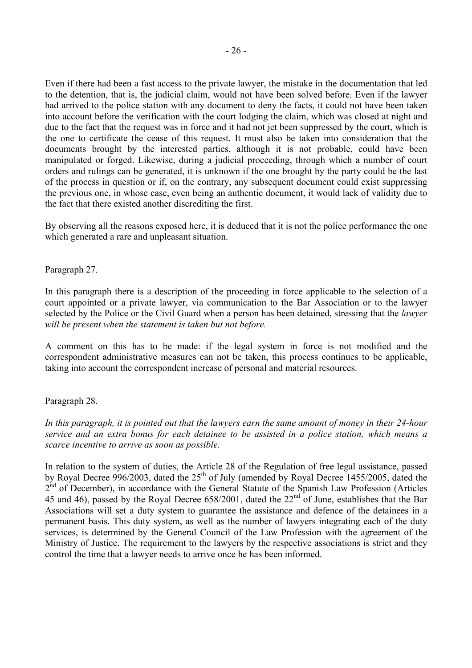Even if there had been a fast access to the private lawyer, the mistake in the documentation that led to the detention, that is, the judicial claim, would not have been solved before. Even if the lawyer had arrived to the police station with any document to deny the facts, it could not have been taken into account before the verification with the court lodging the claim, which was closed at night and due to the fact that the request was in force and it had not jet been suppressed by the court, which is the one to certificate the cease of this request. It must also be taken into consideration that the documents brought by the interested parties, although it is not probable, could have been manipulated or forged. Likewise, during a judicial proceeding, through which a number of court orders and rulings can be generated, it is unknown if the one brought by the party could be the last of the process in question or if, on the contrary, any subsequent document could exist suppressing the previous one, in whose case, even being an authentic document, it would lack of validity due to the fact that there existed another discrediting the first.

By observing all the reasons exposed here, it is deduced that it is not the police performance the one which generated a rare and unpleasant situation.

#### Paragraph 27.

In this paragraph there is a description of the proceeding in force applicable to the selection of a court appointed or a private lawyer, via communication to the Bar Association or to the lawyer selected by the Police or the Civil Guard when a person has been detained, stressing that the *lawyer will be present when the statement is taken but not before.* 

A comment on this has to be made: if the legal system in force is not modified and the correspondent administrative measures can not be taken, this process continues to be applicable, taking into account the correspondent increase of personal and material resources.

#### Paragraph 28.

*In this paragraph, it is pointed out that the lawyers earn the same amount of money in their 24-hour service and an extra bonus for each detainee to be assisted in a police station, which means a scarce incentive to arrive as soon as possible.* 

In relation to the system of duties, the Article 28 of the Regulation of free legal assistance, passed by Royal Decree 996/2003, dated the  $25<sup>th</sup>$  of July (amended by Royal Decree 1455/2005, dated the 2<sup>nd</sup> of December), in accordance with the General Statute of the Spanish Law Profession (Articles 45 and 46), passed by the Royal Decree 658/2001, dated the  $22<sup>nd</sup>$  of June, establishes that the Bar Associations will set a duty system to guarantee the assistance and defence of the detainees in a permanent basis. This duty system, as well as the number of lawyers integrating each of the duty services, is determined by the General Council of the Law Profession with the agreement of the Ministry of Justice. The requirement to the lawyers by the respective associations is strict and they control the time that a lawyer needs to arrive once he has been informed.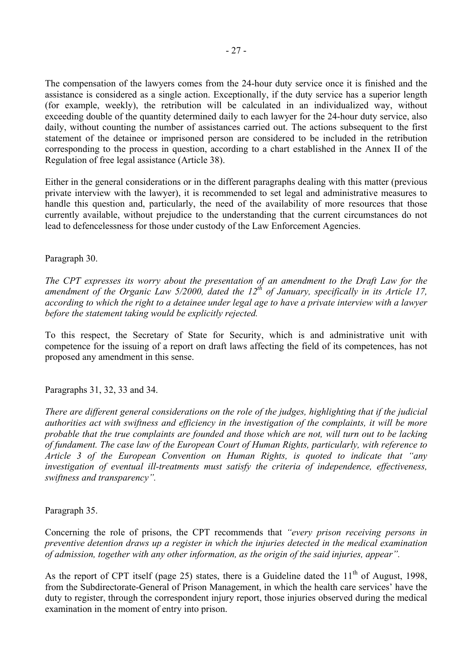The compensation of the lawyers comes from the 24-hour duty service once it is finished and the assistance is considered as a single action. Exceptionally, if the duty service has a superior length (for example, weekly), the retribution will be calculated in an individualized way, without exceeding double of the quantity determined daily to each lawyer for the 24-hour duty service, also daily, without counting the number of assistances carried out. The actions subsequent to the first statement of the detainee or imprisoned person are considered to be included in the retribution corresponding to the process in question, according to a chart established in the Annex II of the Regulation of free legal assistance (Article 38).

Either in the general considerations or in the different paragraphs dealing with this matter (previous private interview with the lawyer), it is recommended to set legal and administrative measures to handle this question and, particularly, the need of the availability of more resources that those currently available, without prejudice to the understanding that the current circumstances do not lead to defencelessness for those under custody of the Law Enforcement Agencies.

#### Paragraph 30.

*The CPT expresses its worry about the presentation of an amendment to the Draft Law for the amendment of the Organic Law 5/2000, dated the 12th of January, specifically in its Article 17, according to which the right to a detainee under legal age to have a private interview with a lawyer before the statement taking would be explicitly rejected.* 

To this respect, the Secretary of State for Security, which is and administrative unit with competence for the issuing of a report on draft laws affecting the field of its competences, has not proposed any amendment in this sense.

Paragraphs 31, 32, 33 and 34.

*There are different general considerations on the role of the judges, highlighting that if the judicial authorities act with swiftness and efficiency in the investigation of the complaints, it will be more probable that the true complaints are founded and those which are not, will turn out to be lacking of fundament. The case law of the European Court of Human Rights, particularly, with reference to Article 3 of the European Convention on Human Rights, is quoted to indicate that "any investigation of eventual ill-treatments must satisfy the criteria of independence, effectiveness, swiftness and transparency".*

Paragraph 35.

Concerning the role of prisons, the CPT recommends that *"every prison receiving persons in preventive detention draws up a register in which the injuries detected in the medical examination of admission, together with any other information, as the origin of the said injuries, appear".* 

As the report of CPT itself (page 25) states, there is a Guideline dated the  $11<sup>th</sup>$  of August, 1998, from the Subdirectorate-General of Prison Management, in which the health care services' have the duty to register, through the correspondent injury report, those injuries observed during the medical examination in the moment of entry into prison.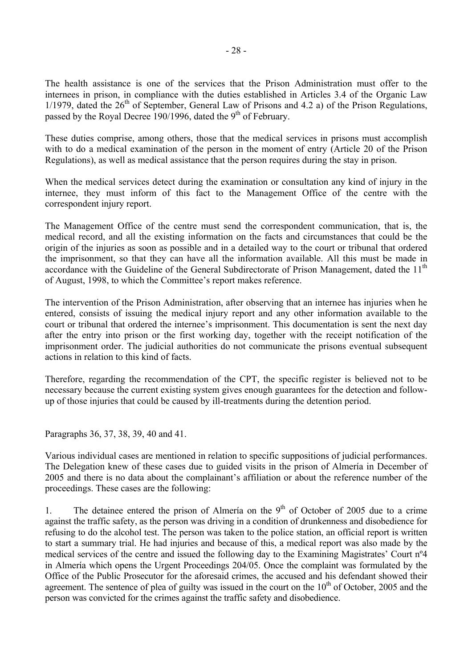The health assistance is one of the services that the Prison Administration must offer to the internees in prison, in compliance with the duties established in Articles 3.4 of the Organic Law 1/1979, dated the  $26<sup>th</sup>$  of September, General Law of Prisons and 4.2 a) of the Prison Regulations, passed by the Royal Decree 190/1996, dated the 9<sup>th</sup> of February.

These duties comprise, among others, those that the medical services in prisons must accomplish with to do a medical examination of the person in the moment of entry (Article 20 of the Prison Regulations), as well as medical assistance that the person requires during the stay in prison.

When the medical services detect during the examination or consultation any kind of injury in the internee, they must inform of this fact to the Management Office of the centre with the correspondent injury report.

The Management Office of the centre must send the correspondent communication, that is, the medical record, and all the existing information on the facts and circumstances that could be the origin of the injuries as soon as possible and in a detailed way to the court or tribunal that ordered the imprisonment, so that they can have all the information available. All this must be made in accordance with the Guideline of the General Subdirectorate of Prison Management, dated the 11<sup>th</sup> of August, 1998, to which the Committee's report makes reference.

The intervention of the Prison Administration, after observing that an internee has injuries when he entered, consists of issuing the medical injury report and any other information available to the court or tribunal that ordered the internee's imprisonment. This documentation is sent the next day after the entry into prison or the first working day, together with the receipt notification of the imprisonment order. The judicial authorities do not communicate the prisons eventual subsequent actions in relation to this kind of facts.

Therefore, regarding the recommendation of the CPT, the specific register is believed not to be necessary because the current existing system gives enough guarantees for the detection and followup of those injuries that could be caused by ill-treatments during the detention period.

Paragraphs 36, 37, 38, 39, 40 and 41.

Various individual cases are mentioned in relation to specific suppositions of judicial performances. The Delegation knew of these cases due to guided visits in the prison of Almería in December of 2005 and there is no data about the complainant's affiliation or about the reference number of the proceedings. These cases are the following:

1. The detainee entered the prison of Almería on the  $9<sup>th</sup>$  of October of 2005 due to a crime against the traffic safety, as the person was driving in a condition of drunkenness and disobedience for refusing to do the alcohol test. The person was taken to the police station, an official report is written to start a summary trial. He had injuries and because of this, a medical report was also made by the medical services of the centre and issued the following day to the Examining Magistrates' Court nº4 in Almería which opens the Urgent Proceedings 204/05. Once the complaint was formulated by the Office of the Public Prosecutor for the aforesaid crimes, the accused and his defendant showed their agreement. The sentence of plea of guilty was issued in the court on the  $10<sup>th</sup>$  of October, 2005 and the person was convicted for the crimes against the traffic safety and disobedience.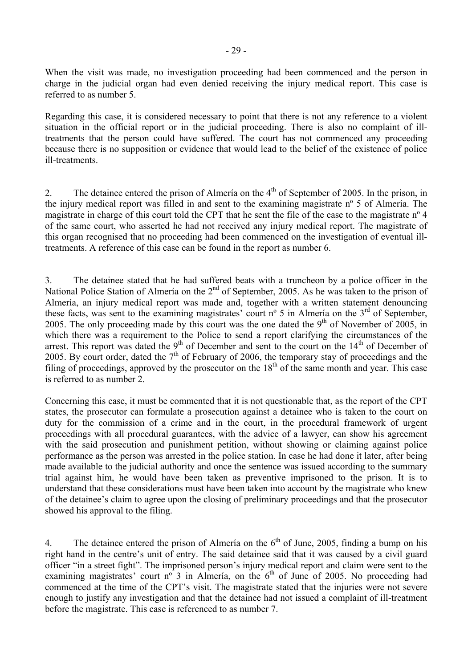Regarding this case, it is considered necessary to point that there is not any reference to a violent situation in the official report or in the judicial proceeding. There is also no complaint of illtreatments that the person could have suffered. The court has not commenced any proceeding because there is no supposition or evidence that would lead to the belief of the existence of police ill-treatments.

2. The detainee entered the prison of Almería on the  $4<sup>th</sup>$  of September of 2005. In the prison, in the injury medical report was filled in and sent to the examining magistrate nº 5 of Almería. The magistrate in charge of this court told the CPT that he sent the file of the case to the magistrate nº 4 of the same court, who asserted he had not received any injury medical report. The magistrate of this organ recognised that no proceeding had been commenced on the investigation of eventual illtreatments. A reference of this case can be found in the report as number 6.

3. The detainee stated that he had suffered beats with a truncheon by a police officer in the National Police Station of Almería on the 2<sup>nd</sup> of September, 2005. As he was taken to the prison of Almería, an injury medical report was made and, together with a written statement denouncing these facts, was sent to the examining magistrates' court  $n^{\circ}$  5 in Almería on the 3<sup>rd</sup> of September, 2005. The only proceeding made by this court was the one dated the  $9<sup>th</sup>$  of November of 2005, in which there was a requirement to the Police to send a report clarifying the circumstances of the arrest. This report was dated the  $9<sup>th</sup>$  of December and sent to the court on the  $14<sup>th</sup>$  of December of 2005. By court order, dated the 7<sup>th</sup> of February of 2006, the temporary stay of proceedings and the filing of proceedings, approved by the prosecutor on the  $18<sup>th</sup>$  of the same month and year. This case is referred to as number 2.

Concerning this case, it must be commented that it is not questionable that, as the report of the CPT states, the prosecutor can formulate a prosecution against a detainee who is taken to the court on duty for the commission of a crime and in the court, in the procedural framework of urgent proceedings with all procedural guarantees, with the advice of a lawyer, can show his agreement with the said prosecution and punishment petition, without showing or claiming against police performance as the person was arrested in the police station. In case he had done it later, after being made available to the judicial authority and once the sentence was issued according to the summary trial against him, he would have been taken as preventive imprisoned to the prison. It is to understand that these considerations must have been taken into account by the magistrate who knew of the detainee's claim to agree upon the closing of preliminary proceedings and that the prosecutor showed his approval to the filing.

4. The detainee entered the prison of Almería on the  $6<sup>th</sup>$  of June, 2005, finding a bump on his right hand in the centre's unit of entry. The said detainee said that it was caused by a civil guard officer "in a street fight". The imprisoned person's injury medical report and claim were sent to the examining magistrates' court n<sup>o</sup> 3 in Almería, on the  $6<sup>th</sup>$  of June of 2005. No proceeding had commenced at the time of the CPT's visit. The magistrate stated that the injuries were not severe enough to justify any investigation and that the detainee had not issued a complaint of ill-treatment before the magistrate. This case is referenced to as number 7.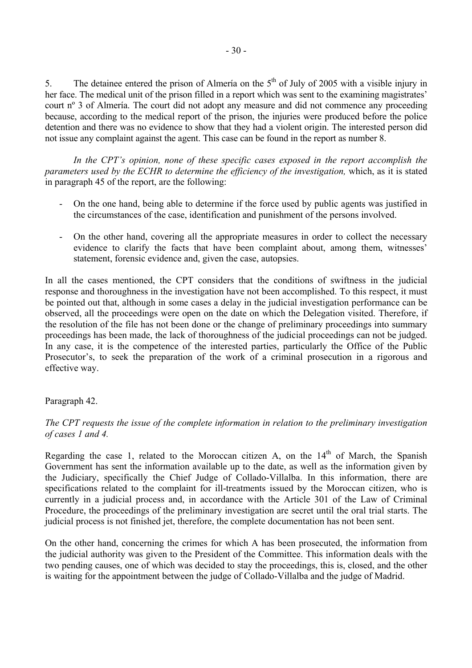5. The detainee entered the prison of Almería on the  $5<sup>th</sup>$  of July of 2005 with a visible injury in her face. The medical unit of the prison filled in a report which was sent to the examining magistrates' court nº 3 of Almería. The court did not adopt any measure and did not commence any proceeding because, according to the medical report of the prison, the injuries were produced before the police detention and there was no evidence to show that they had a violent origin. The interested person did not issue any complaint against the agent. This case can be found in the report as number 8.

*In the CPT's opinion, none of these specific cases exposed in the report accomplish the parameters used by the ECHR to determine the efficiency of the investigation, which, as it is stated* in paragraph 45 of the report, are the following:

- On the one hand, being able to determine if the force used by public agents was justified in the circumstances of the case, identification and punishment of the persons involved.
- On the other hand, covering all the appropriate measures in order to collect the necessary evidence to clarify the facts that have been complaint about, among them, witnesses' statement, forensic evidence and, given the case, autopsies.

In all the cases mentioned, the CPT considers that the conditions of swiftness in the judicial response and thoroughness in the investigation have not been accomplished. To this respect, it must be pointed out that, although in some cases a delay in the judicial investigation performance can be observed, all the proceedings were open on the date on which the Delegation visited. Therefore, if the resolution of the file has not been done or the change of preliminary proceedings into summary proceedings has been made, the lack of thoroughness of the judicial proceedings can not be judged. In any case, it is the competence of the interested parties, particularly the Office of the Public Prosecutor's, to seek the preparation of the work of a criminal prosecution in a rigorous and effective way.

# Paragraph 42.

# *The CPT requests the issue of the complete information in relation to the preliminary investigation of cases 1 and 4.*

Regarding the case 1, related to the Moroccan citizen A, on the  $14<sup>th</sup>$  of March, the Spanish Government has sent the information available up to the date, as well as the information given by the Judiciary, specifically the Chief Judge of Collado-Villalba. In this information, there are specifications related to the complaint for ill-treatments issued by the Moroccan citizen, who is currently in a judicial process and, in accordance with the Article 301 of the Law of Criminal Procedure, the proceedings of the preliminary investigation are secret until the oral trial starts. The judicial process is not finished jet, therefore, the complete documentation has not been sent.

On the other hand, concerning the crimes for which A has been prosecuted, the information from the judicial authority was given to the President of the Committee. This information deals with the two pending causes, one of which was decided to stay the proceedings, this is, closed, and the other is waiting for the appointment between the judge of Collado-Villalba and the judge of Madrid.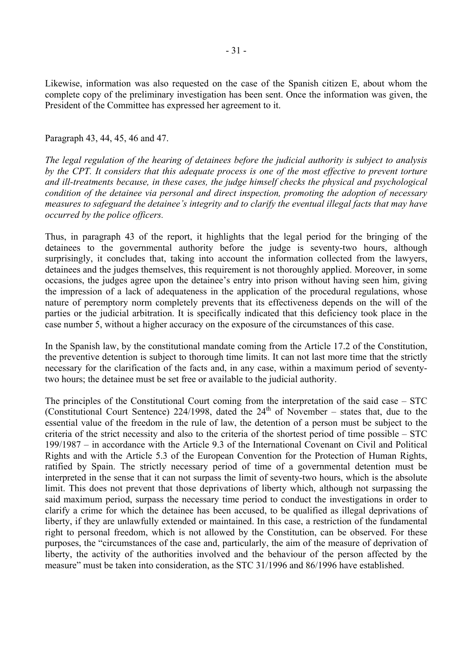Likewise, information was also requested on the case of the Spanish citizen E, about whom the complete copy of the preliminary investigation has been sent. Once the information was given, the President of the Committee has expressed her agreement to it.

#### Paragraph 43, 44, 45, 46 and 47.

*The legal regulation of the hearing of detainees before the judicial authority is subject to analysis by the CPT. It considers that this adequate process is one of the most effective to prevent torture and ill-treatments because, in these cases, the judge himself checks the physical and psychological condition of the detainee via personal and direct inspection, promoting the adoption of necessary measures to safeguard the detainee's integrity and to clarify the eventual illegal facts that may have occurred by the police officers.* 

Thus, in paragraph 43 of the report, it highlights that the legal period for the bringing of the detainees to the governmental authority before the judge is seventy-two hours, although surprisingly, it concludes that, taking into account the information collected from the lawyers, detainees and the judges themselves, this requirement is not thoroughly applied. Moreover, in some occasions, the judges agree upon the detainee's entry into prison without having seen him, giving the impression of a lack of adequateness in the application of the procedural regulations, whose nature of peremptory norm completely prevents that its effectiveness depends on the will of the parties or the judicial arbitration. It is specifically indicated that this deficiency took place in the case number 5, without a higher accuracy on the exposure of the circumstances of this case.

In the Spanish law, by the constitutional mandate coming from the Article 17.2 of the Constitution, the preventive detention is subject to thorough time limits. It can not last more time that the strictly necessary for the clarification of the facts and, in any case, within a maximum period of seventytwo hours; the detainee must be set free or available to the judicial authority.

The principles of the Constitutional Court coming from the interpretation of the said case – STC (Constitutional Court Sentence) 224/1998, dated the  $24<sup>th</sup>$  of November – states that, due to the essential value of the freedom in the rule of law, the detention of a person must be subject to the criteria of the strict necessity and also to the criteria of the shortest period of time possible – STC 199/1987 – in accordance with the Article 9.3 of the International Covenant on Civil and Political Rights and with the Article 5.3 of the European Convention for the Protection of Human Rights, ratified by Spain. The strictly necessary period of time of a governmental detention must be interpreted in the sense that it can not surpass the limit of seventy-two hours, which is the absolute limit. This does not prevent that those deprivations of liberty which, although not surpassing the said maximum period, surpass the necessary time period to conduct the investigations in order to clarify a crime for which the detainee has been accused, to be qualified as illegal deprivations of liberty, if they are unlawfully extended or maintained. In this case, a restriction of the fundamental right to personal freedom, which is not allowed by the Constitution, can be observed. For these purposes, the "circumstances of the case and, particularly, the aim of the measure of deprivation of liberty, the activity of the authorities involved and the behaviour of the person affected by the measure" must be taken into consideration, as the STC 31/1996 and 86/1996 have established.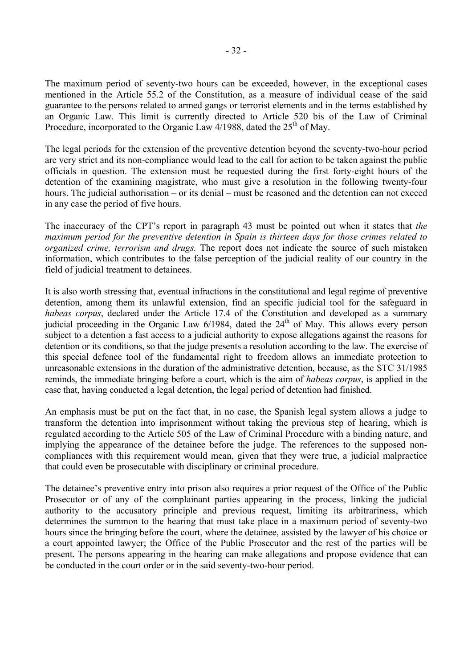The maximum period of seventy-two hours can be exceeded, however, in the exceptional cases mentioned in the Article 55.2 of the Constitution, as a measure of individual cease of the said guarantee to the persons related to armed gangs or terrorist elements and in the terms established by an Organic Law. This limit is currently directed to Article 520 bis of the Law of Criminal Procedure, incorporated to the Organic Law  $4/1988$ , dated the  $25<sup>th</sup>$  of May.

The legal periods for the extension of the preventive detention beyond the seventy-two-hour period are very strict and its non-compliance would lead to the call for action to be taken against the public officials in question. The extension must be requested during the first forty-eight hours of the detention of the examining magistrate, who must give a resolution in the following twenty-four hours. The judicial authorisation – or its denial – must be reasoned and the detention can not exceed in any case the period of five hours.

The inaccuracy of the CPT's report in paragraph 43 must be pointed out when it states that *the maximum period for the preventive detention in Spain is thirteen days for those crimes related to organized crime, terrorism and drugs.* The report does not indicate the source of such mistaken information, which contributes to the false perception of the judicial reality of our country in the field of judicial treatment to detainees.

It is also worth stressing that, eventual infractions in the constitutional and legal regime of preventive detention, among them its unlawful extension, find an specific judicial tool for the safeguard in *habeas corpus*, declared under the Article 17.4 of the Constitution and developed as a summary judicial proceeding in the Organic Law  $6/1984$ , dated the  $24<sup>th</sup>$  of May. This allows every person subject to a detention a fast access to a judicial authority to expose allegations against the reasons for detention or its conditions, so that the judge presents a resolution according to the law. The exercise of this special defence tool of the fundamental right to freedom allows an immediate protection to unreasonable extensions in the duration of the administrative detention, because, as the STC 31/1985 reminds, the immediate bringing before a court, which is the aim of *habeas corpus*, is applied in the case that, having conducted a legal detention, the legal period of detention had finished.

An emphasis must be put on the fact that, in no case, the Spanish legal system allows a judge to transform the detention into imprisonment without taking the previous step of hearing, which is regulated according to the Article 505 of the Law of Criminal Procedure with a binding nature, and implying the appearance of the detainee before the judge. The references to the supposed noncompliances with this requirement would mean, given that they were true, a judicial malpractice that could even be prosecutable with disciplinary or criminal procedure.

The detainee's preventive entry into prison also requires a prior request of the Office of the Public Prosecutor or of any of the complainant parties appearing in the process, linking the judicial authority to the accusatory principle and previous request, limiting its arbitrariness, which determines the summon to the hearing that must take place in a maximum period of seventy-two hours since the bringing before the court, where the detainee, assisted by the lawyer of his choice or a court appointed lawyer; the Office of the Public Prosecutor and the rest of the parties will be present. The persons appearing in the hearing can make allegations and propose evidence that can be conducted in the court order or in the said seventy-two-hour period.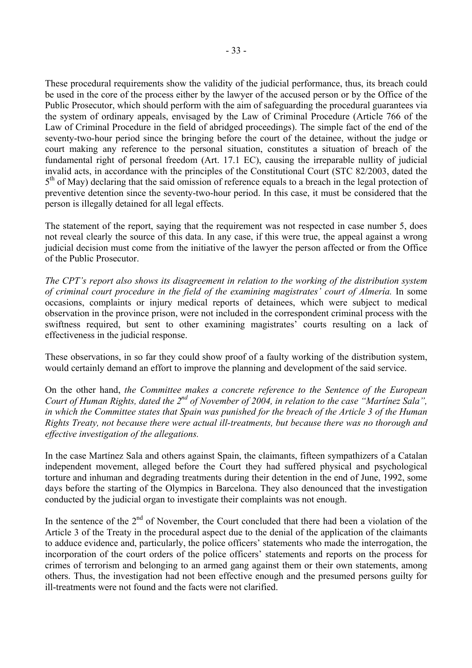These procedural requirements show the validity of the judicial performance, thus, its breach could be used in the core of the process either by the lawyer of the accused person or by the Office of the Public Prosecutor, which should perform with the aim of safeguarding the procedural guarantees via the system of ordinary appeals, envisaged by the Law of Criminal Procedure (Article 766 of the Law of Criminal Procedure in the field of abridged proceedings). The simple fact of the end of the seventy-two-hour period since the bringing before the court of the detainee, without the judge or court making any reference to the personal situation, constitutes a situation of breach of the fundamental right of personal freedom (Art. 17.1 EC), causing the irreparable nullity of judicial invalid acts, in accordance with the principles of the Constitutional Court (STC 82/2003, dated the  $5<sup>th</sup>$  of May) declaring that the said omission of reference equals to a breach in the legal protection of preventive detention since the seventy-two-hour period. In this case, it must be considered that the person is illegally detained for all legal effects.

The statement of the report, saying that the requirement was not respected in case number 5, does not reveal clearly the source of this data. In any case, if this were true, the appeal against a wrong judicial decision must come from the initiative of the lawyer the person affected or from the Office of the Public Prosecutor.

*The CPT's report also shows its disagreement in relation to the working of the distribution system of criminal court procedure in the field of the examining magistrates' court of Almería.* In some occasions, complaints or injury medical reports of detainees, which were subject to medical observation in the province prison, were not included in the correspondent criminal process with the swiftness required, but sent to other examining magistrates' courts resulting on a lack of effectiveness in the judicial response.

These observations, in so far they could show proof of a faulty working of the distribution system, would certainly demand an effort to improve the planning and development of the said service.

On the other hand, *the Committee makes a concrete reference to the Sentence of the European Court of Human Rights, dated the 2nd of November of 2004, in relation to the case "Martínez Sala", in which the Committee states that Spain was punished for the breach of the Article 3 of the Human Rights Treaty, not because there were actual ill-treatments, but because there was no thorough and effective investigation of the allegations.* 

In the case Martínez Sala and others against Spain, the claimants, fifteen sympathizers of a Catalan independent movement, alleged before the Court they had suffered physical and psychological torture and inhuman and degrading treatments during their detention in the end of June, 1992, some days before the starting of the Olympics in Barcelona. They also denounced that the investigation conducted by the judicial organ to investigate their complaints was not enough.

In the sentence of the  $2<sup>nd</sup>$  of November, the Court concluded that there had been a violation of the Article 3 of the Treaty in the procedural aspect due to the denial of the application of the claimants to adduce evidence and, particularly, the police officers' statements who made the interrogation, the incorporation of the court orders of the police officers' statements and reports on the process for crimes of terrorism and belonging to an armed gang against them or their own statements, among others. Thus, the investigation had not been effective enough and the presumed persons guilty for ill-treatments were not found and the facts were not clarified.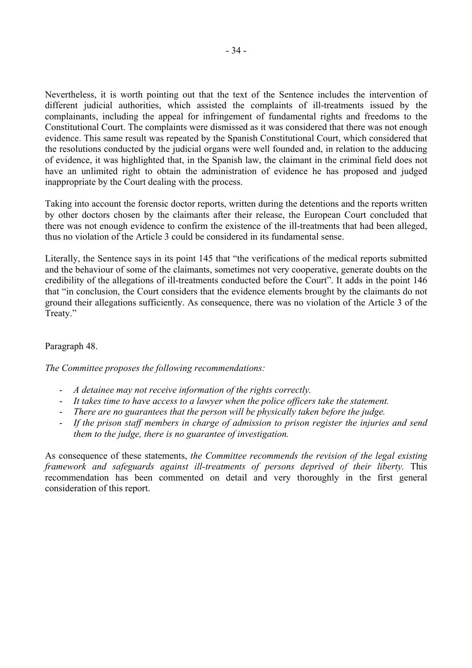Nevertheless, it is worth pointing out that the text of the Sentence includes the intervention of different judicial authorities, which assisted the complaints of ill-treatments issued by the complainants, including the appeal for infringement of fundamental rights and freedoms to the Constitutional Court. The complaints were dismissed as it was considered that there was not enough evidence. This same result was repeated by the Spanish Constitutional Court, which considered that the resolutions conducted by the judicial organs were well founded and, in relation to the adducing of evidence, it was highlighted that, in the Spanish law, the claimant in the criminal field does not have an unlimited right to obtain the administration of evidence he has proposed and judged inappropriate by the Court dealing with the process.

Taking into account the forensic doctor reports, written during the detentions and the reports written by other doctors chosen by the claimants after their release, the European Court concluded that there was not enough evidence to confirm the existence of the ill-treatments that had been alleged, thus no violation of the Article 3 could be considered in its fundamental sense.

Literally, the Sentence says in its point 145 that "the verifications of the medical reports submitted and the behaviour of some of the claimants, sometimes not very cooperative, generate doubts on the credibility of the allegations of ill-treatments conducted before the Court". It adds in the point 146 that "in conclusion, the Court considers that the evidence elements brought by the claimants do not ground their allegations sufficiently. As consequence, there was no violation of the Article 3 of the Treaty."

# Paragraph 48.

*The Committee proposes the following recommendations:* 

- *A detainee may not receive information of the rights correctly.*
- *It takes time to have access to a lawyer when the police officers take the statement.*
- *There are no guarantees that the person will be physically taken before the judge.*
- *If the prison staff members in charge of admission to prison register the injuries and send them to the judge, there is no guarantee of investigation.*

As consequence of these statements, *the Committee recommends the revision of the legal existing framework and safeguards against ill-treatments of persons deprived of their liberty.* This recommendation has been commented on detail and very thoroughly in the first general consideration of this report.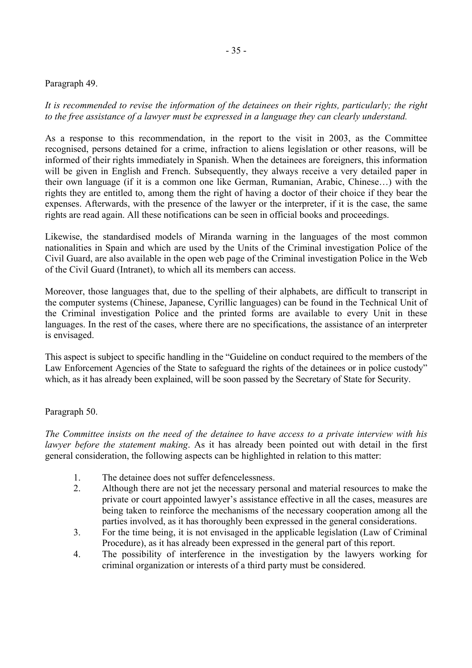#### Paragraph 49.

*It is recommended to revise the information of the detainees on their rights, particularly; the right to the free assistance of a lawyer must be expressed in a language they can clearly understand.* 

As a response to this recommendation, in the report to the visit in 2003, as the Committee recognised, persons detained for a crime, infraction to aliens legislation or other reasons, will be informed of their rights immediately in Spanish. When the detainees are foreigners, this information will be given in English and French. Subsequently, they always receive a very detailed paper in their own language (if it is a common one like German, Rumanian, Arabic, Chinese…) with the rights they are entitled to, among them the right of having a doctor of their choice if they bear the expenses. Afterwards, with the presence of the lawyer or the interpreter, if it is the case, the same rights are read again. All these notifications can be seen in official books and proceedings.

Likewise, the standardised models of Miranda warning in the languages of the most common nationalities in Spain and which are used by the Units of the Criminal investigation Police of the Civil Guard, are also available in the open web page of the Criminal investigation Police in the Web of the Civil Guard (Intranet), to which all its members can access.

Moreover, those languages that, due to the spelling of their alphabets, are difficult to transcript in the computer systems (Chinese, Japanese, Cyrillic languages) can be found in the Technical Unit of the Criminal investigation Police and the printed forms are available to every Unit in these languages. In the rest of the cases, where there are no specifications, the assistance of an interpreter is envisaged.

This aspect is subject to specific handling in the "Guideline on conduct required to the members of the Law Enforcement Agencies of the State to safeguard the rights of the detainees or in police custody" which, as it has already been explained, will be soon passed by the Secretary of State for Security.

#### Paragraph 50.

*The Committee insists on the need of the detainee to have access to a private interview with his lawyer before the statement making*. As it has already been pointed out with detail in the first general consideration, the following aspects can be highlighted in relation to this matter:

- 1. The detainee does not suffer defencelessness.
- 2. Although there are not jet the necessary personal and material resources to make the private or court appointed lawyer's assistance effective in all the cases, measures are being taken to reinforce the mechanisms of the necessary cooperation among all the parties involved, as it has thoroughly been expressed in the general considerations.
- 3. For the time being, it is not envisaged in the applicable legislation (Law of Criminal Procedure), as it has already been expressed in the general part of this report.
- 4. The possibility of interference in the investigation by the lawyers working for criminal organization or interests of a third party must be considered.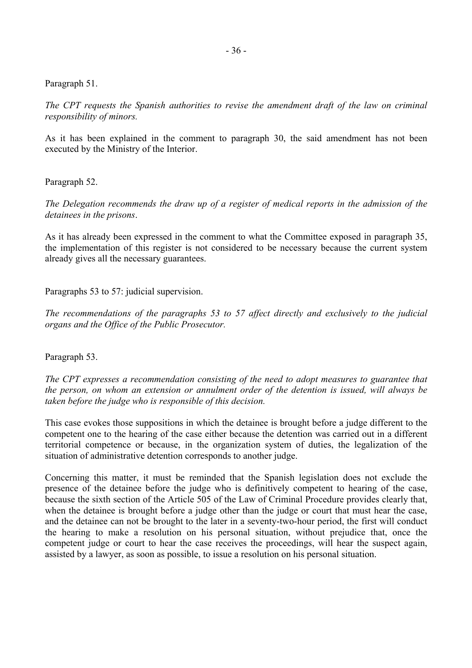Paragraph 51.

*The CPT requests the Spanish authorities to revise the amendment draft of the law on criminal responsibility of minors.* 

As it has been explained in the comment to paragraph 30, the said amendment has not been executed by the Ministry of the Interior.

Paragraph 52.

*The Delegation recommends the draw up of a register of medical reports in the admission of the detainees in the prisons*.

As it has already been expressed in the comment to what the Committee exposed in paragraph 35, the implementation of this register is not considered to be necessary because the current system already gives all the necessary guarantees.

Paragraphs 53 to 57: judicial supervision.

*The recommendations of the paragraphs 53 to 57 affect directly and exclusively to the judicial organs and the Office of the Public Prosecutor.* 

Paragraph 53.

*The CPT expresses a recommendation consisting of the need to adopt measures to guarantee that the person, on whom an extension or annulment order of the detention is issued, will always be taken before the judge who is responsible of this decision.* 

This case evokes those suppositions in which the detainee is brought before a judge different to the competent one to the hearing of the case either because the detention was carried out in a different territorial competence or because, in the organization system of duties, the legalization of the situation of administrative detention corresponds to another judge.

Concerning this matter, it must be reminded that the Spanish legislation does not exclude the presence of the detainee before the judge who is definitively competent to hearing of the case, because the sixth section of the Article 505 of the Law of Criminal Procedure provides clearly that, when the detainee is brought before a judge other than the judge or court that must hear the case, and the detainee can not be brought to the later in a seventy-two-hour period, the first will conduct the hearing to make a resolution on his personal situation, without prejudice that, once the competent judge or court to hear the case receives the proceedings, will hear the suspect again, assisted by a lawyer, as soon as possible, to issue a resolution on his personal situation.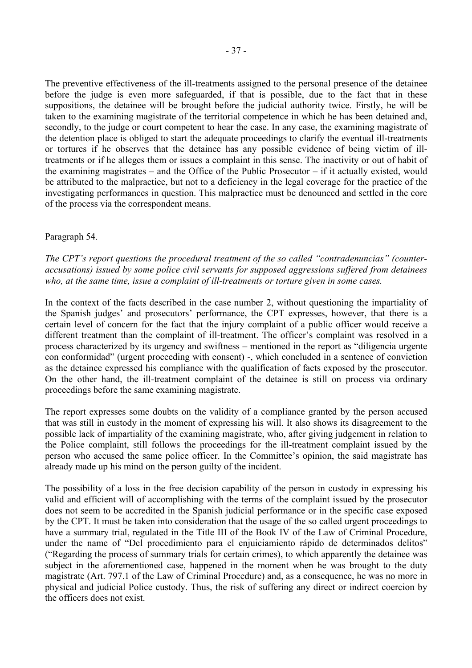The preventive effectiveness of the ill-treatments assigned to the personal presence of the detainee before the judge is even more safeguarded, if that is possible, due to the fact that in these suppositions, the detainee will be brought before the judicial authority twice. Firstly, he will be taken to the examining magistrate of the territorial competence in which he has been detained and, secondly, to the judge or court competent to hear the case. In any case, the examining magistrate of the detention place is obliged to start the adequate proceedings to clarify the eventual ill-treatments or tortures if he observes that the detainee has any possible evidence of being victim of illtreatments or if he alleges them or issues a complaint in this sense. The inactivity or out of habit of the examining magistrates – and the Office of the Public Prosecutor – if it actually existed, would be attributed to the malpractice, but not to a deficiency in the legal coverage for the practice of the investigating performances in question. This malpractice must be denounced and settled in the core of the process via the correspondent means.

#### Paragraph 54.

*The CPT's report questions the procedural treatment of the so called "contradenuncias" (counteraccusations) issued by some police civil servants for supposed aggressions suffered from detainees who, at the same time, issue a complaint of ill-treatments or torture given in some cases.* 

In the context of the facts described in the case number 2, without questioning the impartiality of the Spanish judges' and prosecutors' performance, the CPT expresses, however, that there is a certain level of concern for the fact that the injury complaint of a public officer would receive a different treatment than the complaint of ill-treatment. The officer's complaint was resolved in a process characterized by its urgency and swiftness – mentioned in the report as "diligencia urgente con conformidad" (urgent proceeding with consent) -, which concluded in a sentence of conviction as the detainee expressed his compliance with the qualification of facts exposed by the prosecutor. On the other hand, the ill-treatment complaint of the detainee is still on process via ordinary proceedings before the same examining magistrate.

The report expresses some doubts on the validity of a compliance granted by the person accused that was still in custody in the moment of expressing his will. It also shows its disagreement to the possible lack of impartiality of the examining magistrate, who, after giving judgement in relation to the Police complaint, still follows the proceedings for the ill-treatment complaint issued by the person who accused the same police officer. In the Committee's opinion, the said magistrate has already made up his mind on the person guilty of the incident.

The possibility of a loss in the free decision capability of the person in custody in expressing his valid and efficient will of accomplishing with the terms of the complaint issued by the prosecutor does not seem to be accredited in the Spanish judicial performance or in the specific case exposed by the CPT. It must be taken into consideration that the usage of the so called urgent proceedings to have a summary trial, regulated in the Title III of the Book IV of the Law of Criminal Procedure, under the name of "Del procedimiento para el enjuiciamiento rápido de determinados delitos" ("Regarding the process of summary trials for certain crimes), to which apparently the detainee was subject in the aforementioned case, happened in the moment when he was brought to the duty magistrate (Art. 797.1 of the Law of Criminal Procedure) and, as a consequence, he was no more in physical and judicial Police custody. Thus, the risk of suffering any direct or indirect coercion by the officers does not exist.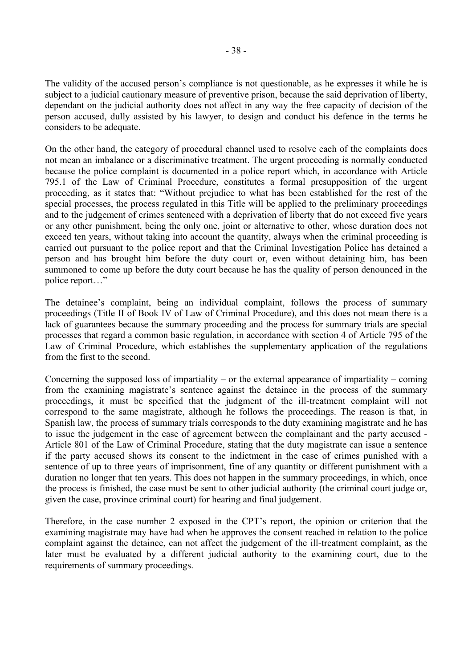The validity of the accused person's compliance is not questionable, as he expresses it while he is subject to a judicial cautionary measure of preventive prison, because the said deprivation of liberty, dependant on the judicial authority does not affect in any way the free capacity of decision of the person accused, dully assisted by his lawyer, to design and conduct his defence in the terms he considers to be adequate.

On the other hand, the category of procedural channel used to resolve each of the complaints does not mean an imbalance or a discriminative treatment. The urgent proceeding is normally conducted because the police complaint is documented in a police report which, in accordance with Article 795.1 of the Law of Criminal Procedure, constitutes a formal presupposition of the urgent proceeding, as it states that: "Without prejudice to what has been established for the rest of the special processes, the process regulated in this Title will be applied to the preliminary proceedings and to the judgement of crimes sentenced with a deprivation of liberty that do not exceed five years or any other punishment, being the only one, joint or alternative to other, whose duration does not exceed ten years, without taking into account the quantity, always when the criminal proceeding is carried out pursuant to the police report and that the Criminal Investigation Police has detained a person and has brought him before the duty court or, even without detaining him, has been summoned to come up before the duty court because he has the quality of person denounced in the police report…"

The detainee's complaint, being an individual complaint, follows the process of summary proceedings (Title II of Book IV of Law of Criminal Procedure), and this does not mean there is a lack of guarantees because the summary proceeding and the process for summary trials are special processes that regard a common basic regulation, in accordance with section 4 of Article 795 of the Law of Criminal Procedure, which establishes the supplementary application of the regulations from the first to the second.

Concerning the supposed loss of impartiality – or the external appearance of impartiality – coming from the examining magistrate's sentence against the detainee in the process of the summary proceedings, it must be specified that the judgment of the ill-treatment complaint will not correspond to the same magistrate, although he follows the proceedings. The reason is that, in Spanish law, the process of summary trials corresponds to the duty examining magistrate and he has to issue the judgement in the case of agreement between the complainant and the party accused - Article 801 of the Law of Criminal Procedure, stating that the duty magistrate can issue a sentence if the party accused shows its consent to the indictment in the case of crimes punished with a sentence of up to three years of imprisonment, fine of any quantity or different punishment with a duration no longer that ten years. This does not happen in the summary proceedings, in which, once the process is finished, the case must be sent to other judicial authority (the criminal court judge or, given the case, province criminal court) for hearing and final judgement.

Therefore, in the case number 2 exposed in the CPT's report, the opinion or criterion that the examining magistrate may have had when he approves the consent reached in relation to the police complaint against the detainee, can not affect the judgement of the ill-treatment complaint, as the later must be evaluated by a different judicial authority to the examining court, due to the requirements of summary proceedings.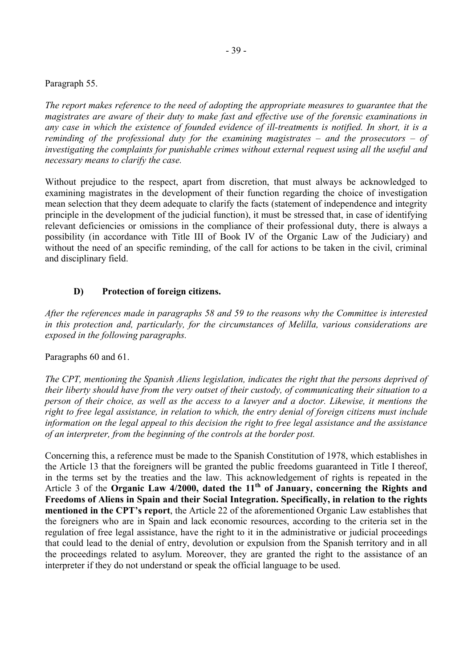#### <span id="page-38-0"></span>Paragraph 55.

*The report makes reference to the need of adopting the appropriate measures to guarantee that the magistrates are aware of their duty to make fast and effective use of the forensic examinations in any case in which the existence of founded evidence of ill-treatments is notified. In short, it is a reminding of the professional duty for the examining magistrates – and the prosecutors – of investigating the complaints for punishable crimes without external request using all the useful and necessary means to clarify the case.* 

Without prejudice to the respect, apart from discretion, that must always be acknowledged to examining magistrates in the development of their function regarding the choice of investigation mean selection that they deem adequate to clarify the facts (statement of independence and integrity principle in the development of the judicial function), it must be stressed that, in case of identifying relevant deficiencies or omissions in the compliance of their professional duty, there is always a possibility (in accordance with Title III of Book IV of the Organic Law of the Judiciary) and without the need of an specific reminding, of the call for actions to be taken in the civil, criminal and disciplinary field.

# **D) Protection of foreign citizens.**

*After the references made in paragraphs 58 and 59 to the reasons why the Committee is interested in this protection and, particularly, for the circumstances of Melilla, various considerations are exposed in the following paragraphs.* 

#### Paragraphs 60 and 61.

*The CPT, mentioning the Spanish Aliens legislation, indicates the right that the persons deprived of their liberty should have from the very outset of their custody, of communicating their situation to a person of their choice, as well as the access to a lawyer and a doctor. Likewise, it mentions the right to free legal assistance, in relation to which, the entry denial of foreign citizens must include information on the legal appeal to this decision the right to free legal assistance and the assistance of an interpreter, from the beginning of the controls at the border post.* 

Concerning this, a reference must be made to the Spanish Constitution of 1978, which establishes in the Article 13 that the foreigners will be granted the public freedoms guaranteed in Title I thereof, in the terms set by the treaties and the law. This acknowledgement of rights is repeated in the Article 3 of the **Organic Law 4/2000, dated the 11th of January, concerning the Rights and Freedoms of Aliens in Spain and their Social Integration. Specifically, in relation to the rights mentioned in the CPT's report**, the Article 22 of the aforementioned Organic Law establishes that the foreigners who are in Spain and lack economic resources, according to the criteria set in the regulation of free legal assistance, have the right to it in the administrative or judicial proceedings that could lead to the denial of entry, devolution or expulsion from the Spanish territory and in all the proceedings related to asylum. Moreover, they are granted the right to the assistance of an interpreter if they do not understand or speak the official language to be used.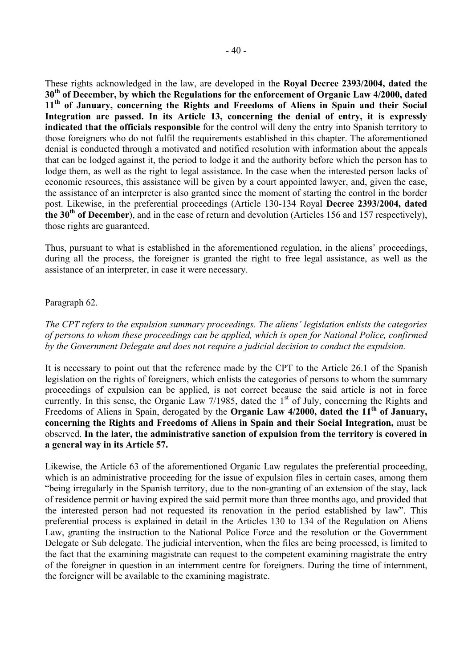These rights acknowledged in the law, are developed in the **Royal Decree 2393/2004, dated the 30th of December, by which the Regulations for the enforcement of Organic Law 4/2000, dated 11th of January, concerning the Rights and Freedoms of Aliens in Spain and their Social Integration are passed. In its Article 13, concerning the denial of entry, it is expressly indicated that the officials responsible** for the control will deny the entry into Spanish territory to those foreigners who do not fulfil the requirements established in this chapter. The aforementioned denial is conducted through a motivated and notified resolution with information about the appeals that can be lodged against it, the period to lodge it and the authority before which the person has to lodge them, as well as the right to legal assistance. In the case when the interested person lacks of economic resources, this assistance will be given by a court appointed lawyer, and, given the case, the assistance of an interpreter is also granted since the moment of starting the control in the border post. Likewise, in the preferential proceedings (Article 130-134 Royal **Decree 2393/2004, dated the 30th of December**), and in the case of return and devolution (Articles 156 and 157 respectively), those rights are guaranteed.

Thus, pursuant to what is established in the aforementioned regulation, in the aliens' proceedings, during all the process, the foreigner is granted the right to free legal assistance, as well as the assistance of an interpreter, in case it were necessary.

#### Paragraph 62.

*The CPT refers to the expulsion summary proceedings. The aliens' legislation enlists the categories of persons to whom these proceedings can be applied, which is open for National Police, confirmed by the Government Delegate and does not require a judicial decision to conduct the expulsion.* 

It is necessary to point out that the reference made by the CPT to the Article 26.1 of the Spanish legislation on the rights of foreigners, which enlists the categories of persons to whom the summary proceedings of expulsion can be applied, is not correct because the said article is not in force currently. In this sense, the Organic Law  $7/1985$ , dated the 1<sup>st</sup> of July, concerning the Rights and Freedoms of Aliens in Spain, derogated by the **Organic Law 4/2000, dated the 11th of January, concerning the Rights and Freedoms of Aliens in Spain and their Social Integration,** must be observed. **In the later, the administrative sanction of expulsion from the territory is covered in a general way in its Article 57.**

Likewise, the Article 63 of the aforementioned Organic Law regulates the preferential proceeding, which is an administrative proceeding for the issue of expulsion files in certain cases, among them "being irregularly in the Spanish territory, due to the non-granting of an extension of the stay, lack of residence permit or having expired the said permit more than three months ago, and provided that the interested person had not requested its renovation in the period established by law". This preferential process is explained in detail in the Articles 130 to 134 of the Regulation on Aliens Law, granting the instruction to the National Police Force and the resolution or the Government Delegate or Sub delegate. The judicial intervention, when the files are being processed, is limited to the fact that the examining magistrate can request to the competent examining magistrate the entry of the foreigner in question in an internment centre for foreigners. During the time of internment, the foreigner will be available to the examining magistrate.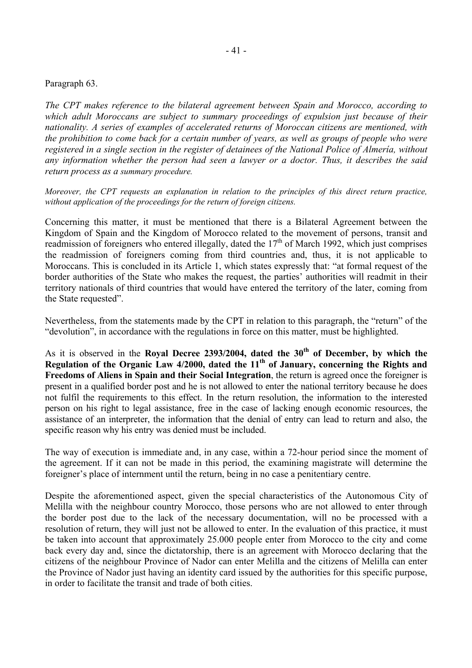#### Paragraph 63.

*The CPT makes reference to the bilateral agreement between Spain and Morocco, according to which adult Moroccans are subject to summary proceedings of expulsion just because of their nationality. A series of examples of accelerated returns of Moroccan citizens are mentioned, with the prohibition to come back for a certain number of years, as well as groups of people who were registered in a single section in the register of detainees of the National Police of Almería, without any information whether the person had seen a lawyer or a doctor. Thus, it describes the said return process as a summary procedure.* 

*Moreover, the CPT requests an explanation in relation to the principles of this direct return practice, without application of the proceedings for the return of foreign citizens.* 

Concerning this matter, it must be mentioned that there is a Bilateral Agreement between the Kingdom of Spain and the Kingdom of Morocco related to the movement of persons, transit and readmission of foreigners who entered illegally, dated the  $17<sup>th</sup>$  of March 1992, which just comprises the readmission of foreigners coming from third countries and, thus, it is not applicable to Moroccans. This is concluded in its Article 1, which states expressly that: "at formal request of the border authorities of the State who makes the request, the parties' authorities will readmit in their territory nationals of third countries that would have entered the territory of the later, coming from the State requested".

Nevertheless, from the statements made by the CPT in relation to this paragraph, the "return" of the "devolution", in accordance with the regulations in force on this matter, must be highlighted.

As it is observed in the **Royal Decree 2393/2004, dated the 30<sup>th</sup> of December, by which the** Regulation of the Organic Law 4/2000, dated the 11<sup>th</sup> of January, concerning the Rights and **Freedoms of Aliens in Spain and their Social Integration**, the return is agreed once the foreigner is present in a qualified border post and he is not allowed to enter the national territory because he does not fulfil the requirements to this effect. In the return resolution, the information to the interested person on his right to legal assistance, free in the case of lacking enough economic resources, the assistance of an interpreter, the information that the denial of entry can lead to return and also, the specific reason why his entry was denied must be included.

The way of execution is immediate and, in any case, within a 72-hour period since the moment of the agreement. If it can not be made in this period, the examining magistrate will determine the foreigner's place of internment until the return, being in no case a penitentiary centre.

Despite the aforementioned aspect, given the special characteristics of the Autonomous City of Melilla with the neighbour country Morocco, those persons who are not allowed to enter through the border post due to the lack of the necessary documentation, will no be processed with a resolution of return, they will just not be allowed to enter. In the evaluation of this practice, it must be taken into account that approximately 25.000 people enter from Morocco to the city and come back every day and, since the dictatorship, there is an agreement with Morocco declaring that the citizens of the neighbour Province of Nador can enter Melilla and the citizens of Melilla can enter the Province of Nador just having an identity card issued by the authorities for this specific purpose, in order to facilitate the transit and trade of both cities.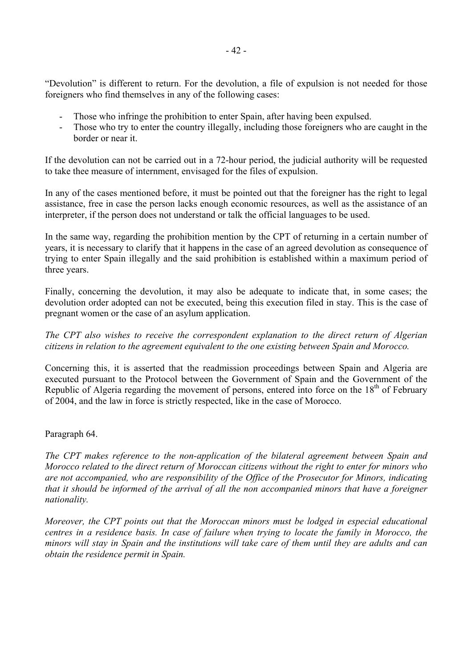"Devolution" is different to return. For the devolution, a file of expulsion is not needed for those foreigners who find themselves in any of the following cases:

- Those who infringe the prohibition to enter Spain, after having been expulsed.
- Those who try to enter the country illegally, including those foreigners who are caught in the border or near it.

If the devolution can not be carried out in a 72-hour period, the judicial authority will be requested to take thee measure of internment, envisaged for the files of expulsion.

In any of the cases mentioned before, it must be pointed out that the foreigner has the right to legal assistance, free in case the person lacks enough economic resources, as well as the assistance of an interpreter, if the person does not understand or talk the official languages to be used.

In the same way, regarding the prohibition mention by the CPT of returning in a certain number of years, it is necessary to clarify that it happens in the case of an agreed devolution as consequence of trying to enter Spain illegally and the said prohibition is established within a maximum period of three years.

Finally, concerning the devolution, it may also be adequate to indicate that, in some cases; the devolution order adopted can not be executed, being this execution filed in stay. This is the case of pregnant women or the case of an asylum application.

*The CPT also wishes to receive the correspondent explanation to the direct return of Algerian citizens in relation to the agreement equivalent to the one existing between Spain and Morocco.* 

Concerning this, it is asserted that the readmission proceedings between Spain and Algeria are executed pursuant to the Protocol between the Government of Spain and the Government of the Republic of Algeria regarding the movement of persons, entered into force on the  $18<sup>th</sup>$  of February of 2004, and the law in force is strictly respected, like in the case of Morocco.

# Paragraph 64.

*The CPT makes reference to the non-application of the bilateral agreement between Spain and Morocco related to the direct return of Moroccan citizens without the right to enter for minors who are not accompanied, who are responsibility of the Office of the Prosecutor for Minors, indicating that it should be informed of the arrival of all the non accompanied minors that have a foreigner nationality.* 

*Moreover, the CPT points out that the Moroccan minors must be lodged in especial educational centres in a residence basis. In case of failure when trying to locate the family in Morocco, the minors will stay in Spain and the institutions will take care of them until they are adults and can obtain the residence permit in Spain.*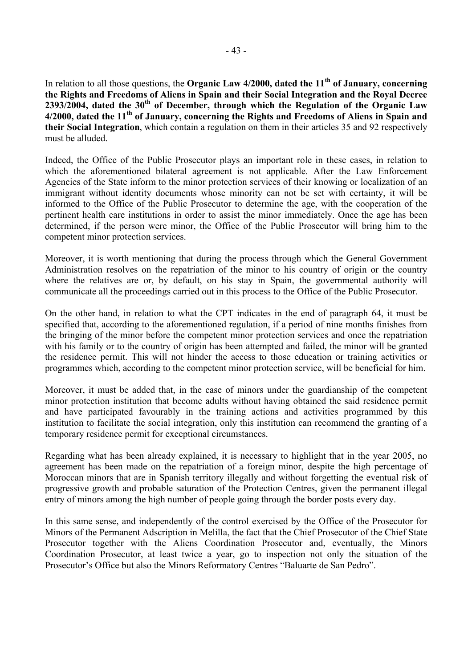In relation to all those questions, the **Organic Law 4/2000, dated the 11th of January, concerning the Rights and Freedoms of Aliens in Spain and their Social Integration and the Royal Decree 2393/2004, dated the 30th of December, through which the Regulation of the Organic Law 4/2000, dated the 11th of January, concerning the Rights and Freedoms of Aliens in Spain and their Social Integration**, which contain a regulation on them in their articles 35 and 92 respectively must be alluded.

Indeed, the Office of the Public Prosecutor plays an important role in these cases, in relation to which the aforementioned bilateral agreement is not applicable. After the Law Enforcement Agencies of the State inform to the minor protection services of their knowing or localization of an immigrant without identity documents whose minority can not be set with certainty, it will be informed to the Office of the Public Prosecutor to determine the age, with the cooperation of the pertinent health care institutions in order to assist the minor immediately. Once the age has been determined, if the person were minor, the Office of the Public Prosecutor will bring him to the competent minor protection services.

Moreover, it is worth mentioning that during the process through which the General Government Administration resolves on the repatriation of the minor to his country of origin or the country where the relatives are or, by default, on his stay in Spain, the governmental authority will communicate all the proceedings carried out in this process to the Office of the Public Prosecutor.

On the other hand, in relation to what the CPT indicates in the end of paragraph 64, it must be specified that, according to the aforementioned regulation, if a period of nine months finishes from the bringing of the minor before the competent minor protection services and once the repatriation with his family or to the country of origin has been attempted and failed, the minor will be granted the residence permit. This will not hinder the access to those education or training activities or programmes which, according to the competent minor protection service, will be beneficial for him.

Moreover, it must be added that, in the case of minors under the guardianship of the competent minor protection institution that become adults without having obtained the said residence permit and have participated favourably in the training actions and activities programmed by this institution to facilitate the social integration, only this institution can recommend the granting of a temporary residence permit for exceptional circumstances.

Regarding what has been already explained, it is necessary to highlight that in the year 2005, no agreement has been made on the repatriation of a foreign minor, despite the high percentage of Moroccan minors that are in Spanish territory illegally and without forgetting the eventual risk of progressive growth and probable saturation of the Protection Centres, given the permanent illegal entry of minors among the high number of people going through the border posts every day.

In this same sense, and independently of the control exercised by the Office of the Prosecutor for Minors of the Permanent Adscription in Melilla, the fact that the Chief Prosecutor of the Chief State Prosecutor together with the Aliens Coordination Prosecutor and, eventually, the Minors Coordination Prosecutor, at least twice a year, go to inspection not only the situation of the Prosecutor's Office but also the Minors Reformatory Centres "Baluarte de San Pedro".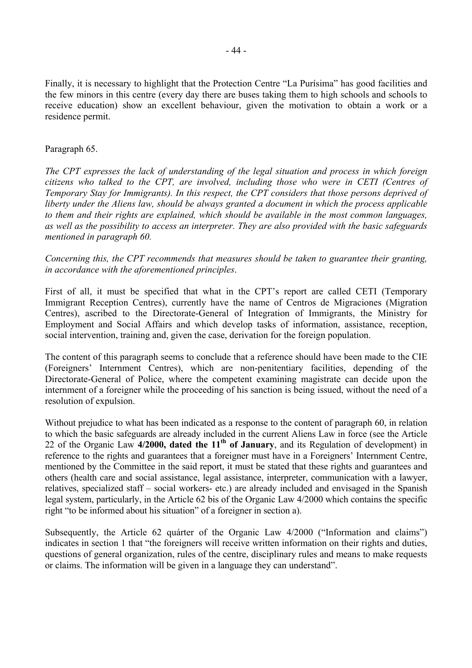Finally, it is necessary to highlight that the Protection Centre "La Purísima" has good facilities and the few minors in this centre (every day there are buses taking them to high schools and schools to receive education) show an excellent behaviour, given the motivation to obtain a work or a residence permit.

#### Paragraph 65.

*The CPT expresses the lack of understanding of the legal situation and process in which foreign citizens who talked to the CPT, are involved, including those who were in CETI (Centres of Temporary Stay for Immigrants). In this respect, the CPT considers that those persons deprived of liberty under the Aliens law, should be always granted a document in which the process applicable to them and their rights are explained, which should be available in the most common languages, as well as the possibility to access an interpreter. They are also provided with the basic safeguards mentioned in paragraph 60.* 

*Concerning this, the CPT recommends that measures should be taken to guarantee their granting, in accordance with the aforementioned principles*.

First of all, it must be specified that what in the CPT's report are called CETI (Temporary Immigrant Reception Centres), currently have the name of Centros de Migraciones (Migration Centres), ascribed to the Directorate-General of Integration of Immigrants, the Ministry for Employment and Social Affairs and which develop tasks of information, assistance, reception, social intervention, training and, given the case, derivation for the foreign population.

The content of this paragraph seems to conclude that a reference should have been made to the CIE (Foreigners' Internment Centres), which are non-penitentiary facilities, depending of the Directorate-General of Police, where the competent examining magistrate can decide upon the internment of a foreigner while the proceeding of his sanction is being issued, without the need of a resolution of expulsion.

Without prejudice to what has been indicated as a response to the content of paragraph 60, in relation to which the basic safeguards are already included in the current Aliens Law in force (see the Article 22 of the Organic Law 4/2000, dated the 11<sup>th</sup> of January, and its Regulation of development) in reference to the rights and guarantees that a foreigner must have in a Foreigners' Internment Centre, mentioned by the Committee in the said report, it must be stated that these rights and guarantees and others (health care and social assistance, legal assistance, interpreter, communication with a lawyer, relatives, specialized staff – social workers- etc.) are already included and envisaged in the Spanish legal system, particularly, in the Article 62 bis of the Organic Law 4/2000 which contains the specific right "to be informed about his situation" of a foreigner in section a).

Subsequently, the Article 62 quárter of the Organic Law 4/2000 ("Information and claims") indicates in section 1 that "the foreigners will receive written information on their rights and duties, questions of general organization, rules of the centre, disciplinary rules and means to make requests or claims. The information will be given in a language they can understand".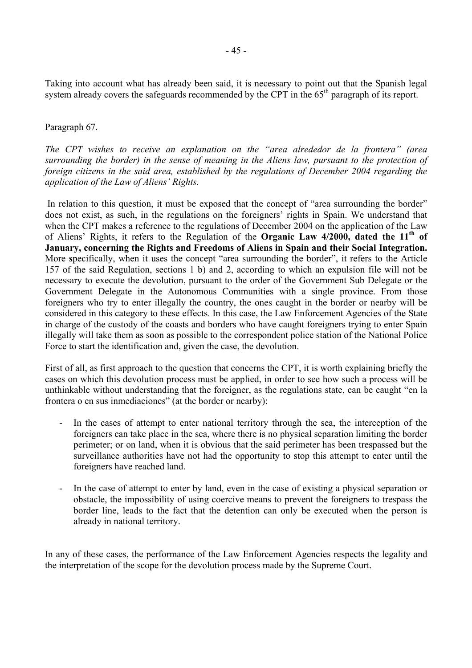Taking into account what has already been said, it is necessary to point out that the Spanish legal system already covers the safeguards recommended by the CPT in the 65<sup>th</sup> paragraph of its report.

#### Paragraph 67.

*The CPT wishes to receive an explanation on the "area alrededor de la frontera" (area surrounding the border) in the sense of meaning in the Aliens law, pursuant to the protection of foreign citizens in the said area, established by the regulations of December 2004 regarding the application of the Law of Aliens' Rights.* 

In relation to this question, it must be exposed that the concept of "area surrounding the border" does not exist, as such, in the regulations on the foreigners' rights in Spain. We understand that when the CPT makes a reference to the regulations of December 2004 on the application of the Law of Aliens' Rights, it refers to the Regulation of the **Organic Law 4/2000, dated the 11th of January, concerning the Rights and Freedoms of Aliens in Spain and their Social Integration.**  More **s**pecifically, when it uses the concept "area surrounding the border", it refers to the Article 157 of the said Regulation, sections 1 b) and 2, according to which an expulsion file will not be necessary to execute the devolution, pursuant to the order of the Government Sub Delegate or the Government Delegate in the Autonomous Communities with a single province. From those foreigners who try to enter illegally the country, the ones caught in the border or nearby will be considered in this category to these effects. In this case, the Law Enforcement Agencies of the State in charge of the custody of the coasts and borders who have caught foreigners trying to enter Spain illegally will take them as soon as possible to the correspondent police station of the National Police Force to start the identification and, given the case, the devolution.

First of all, as first approach to the question that concerns the CPT, it is worth explaining briefly the cases on which this devolution process must be applied, in order to see how such a process will be unthinkable without understanding that the foreigner, as the regulations state, can be caught "en la frontera o en sus inmediaciones" (at the border or nearby):

- In the cases of attempt to enter national territory through the sea, the interception of the foreigners can take place in the sea, where there is no physical separation limiting the border perimeter; or on land, when it is obvious that the said perimeter has been trespassed but the surveillance authorities have not had the opportunity to stop this attempt to enter until the foreigners have reached land.
- In the case of attempt to enter by land, even in the case of existing a physical separation or obstacle, the impossibility of using coercive means to prevent the foreigners to trespass the border line, leads to the fact that the detention can only be executed when the person is already in national territory.

In any of these cases, the performance of the Law Enforcement Agencies respects the legality and the interpretation of the scope for the devolution process made by the Supreme Court.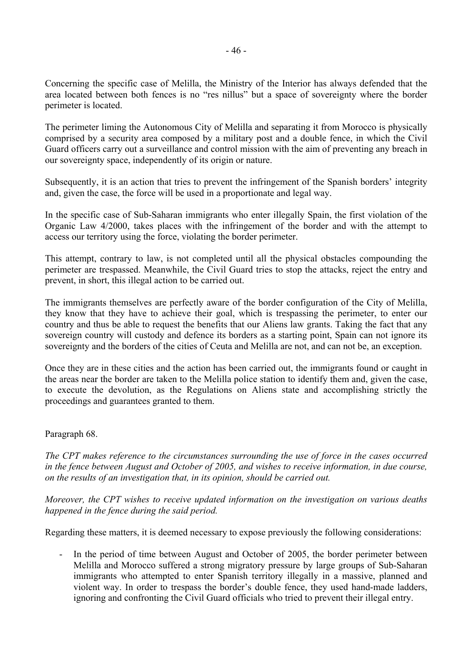Concerning the specific case of Melilla, the Ministry of the Interior has always defended that the area located between both fences is no "res nillus" but a space of sovereignty where the border perimeter is located.

The perimeter liming the Autonomous City of Melilla and separating it from Morocco is physically comprised by a security area composed by a military post and a double fence, in which the Civil Guard officers carry out a surveillance and control mission with the aim of preventing any breach in our sovereignty space, independently of its origin or nature.

Subsequently, it is an action that tries to prevent the infringement of the Spanish borders' integrity and, given the case, the force will be used in a proportionate and legal way.

In the specific case of Sub-Saharan immigrants who enter illegally Spain, the first violation of the Organic Law 4/2000, takes places with the infringement of the border and with the attempt to access our territory using the force, violating the border perimeter.

This attempt, contrary to law, is not completed until all the physical obstacles compounding the perimeter are trespassed. Meanwhile, the Civil Guard tries to stop the attacks, reject the entry and prevent, in short, this illegal action to be carried out.

The immigrants themselves are perfectly aware of the border configuration of the City of Melilla, they know that they have to achieve their goal, which is trespassing the perimeter, to enter our country and thus be able to request the benefits that our Aliens law grants. Taking the fact that any sovereign country will custody and defence its borders as a starting point, Spain can not ignore its sovereignty and the borders of the cities of Ceuta and Melilla are not, and can not be, an exception.

Once they are in these cities and the action has been carried out, the immigrants found or caught in the areas near the border are taken to the Melilla police station to identify them and, given the case, to execute the devolution, as the Regulations on Aliens state and accomplishing strictly the proceedings and guarantees granted to them.

# Paragraph 68.

*The CPT makes reference to the circumstances surrounding the use of force in the cases occurred in the fence between August and October of 2005, and wishes to receive information, in due course, on the results of an investigation that, in its opinion, should be carried out.* 

*Moreover, the CPT wishes to receive updated information on the investigation on various deaths happened in the fence during the said period.* 

Regarding these matters, it is deemed necessary to expose previously the following considerations:

- In the period of time between August and October of 2005, the border perimeter between Melilla and Morocco suffered a strong migratory pressure by large groups of Sub-Saharan immigrants who attempted to enter Spanish territory illegally in a massive, planned and violent way. In order to trespass the border's double fence, they used hand-made ladders, ignoring and confronting the Civil Guard officials who tried to prevent their illegal entry.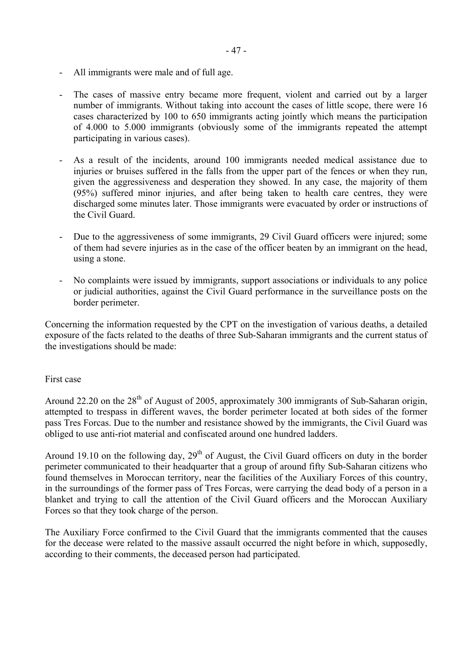- All immigrants were male and of full age.
- The cases of massive entry became more frequent, violent and carried out by a larger number of immigrants. Without taking into account the cases of little scope, there were 16 cases characterized by 100 to 650 immigrants acting jointly which means the participation of 4.000 to 5.000 immigrants (obviously some of the immigrants repeated the attempt participating in various cases).
- As a result of the incidents, around 100 immigrants needed medical assistance due to injuries or bruises suffered in the falls from the upper part of the fences or when they run. given the aggressiveness and desperation they showed. In any case, the majority of them (95%) suffered minor injuries, and after being taken to health care centres, they were discharged some minutes later. Those immigrants were evacuated by order or instructions of the Civil Guard.
- Due to the aggressiveness of some immigrants, 29 Civil Guard officers were injured; some of them had severe injuries as in the case of the officer beaten by an immigrant on the head, using a stone.
- No complaints were issued by immigrants, support associations or individuals to any police or judicial authorities, against the Civil Guard performance in the surveillance posts on the border perimeter.

Concerning the information requested by the CPT on the investigation of various deaths, a detailed exposure of the facts related to the deaths of three Sub-Saharan immigrants and the current status of the investigations should be made:

#### First case

Around 22.20 on the 28<sup>th</sup> of August of 2005, approximately 300 immigrants of Sub-Saharan origin, attempted to trespass in different waves, the border perimeter located at both sides of the former pass Tres Forcas. Due to the number and resistance showed by the immigrants, the Civil Guard was obliged to use anti-riot material and confiscated around one hundred ladders.

Around 19.10 on the following day,  $29<sup>th</sup>$  of August, the Civil Guard officers on duty in the border perimeter communicated to their headquarter that a group of around fifty Sub-Saharan citizens who found themselves in Moroccan territory, near the facilities of the Auxiliary Forces of this country, in the surroundings of the former pass of Tres Forcas, were carrying the dead body of a person in a blanket and trying to call the attention of the Civil Guard officers and the Moroccan Auxiliary Forces so that they took charge of the person.

The Auxiliary Force confirmed to the Civil Guard that the immigrants commented that the causes for the decease were related to the massive assault occurred the night before in which, supposedly, according to their comments, the deceased person had participated.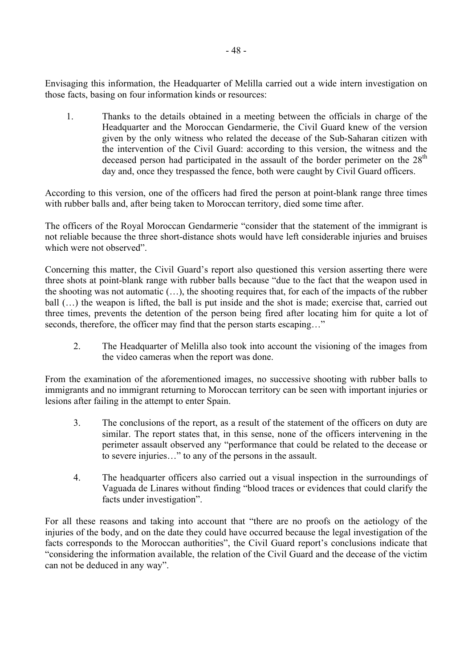Envisaging this information, the Headquarter of Melilla carried out a wide intern investigation on those facts, basing on four information kinds or resources:

1. Thanks to the details obtained in a meeting between the officials in charge of the Headquarter and the Moroccan Gendarmerie, the Civil Guard knew of the version given by the only witness who related the decease of the Sub-Saharan citizen with the intervention of the Civil Guard: according to this version, the witness and the deceased person had participated in the assault of the border perimeter on the  $28<sup>th</sup>$ day and, once they trespassed the fence, both were caught by Civil Guard officers.

According to this version, one of the officers had fired the person at point-blank range three times with rubber balls and, after being taken to Moroccan territory, died some time after.

The officers of the Royal Moroccan Gendarmerie "consider that the statement of the immigrant is not reliable because the three short-distance shots would have left considerable injuries and bruises which were not observed".

Concerning this matter, the Civil Guard's report also questioned this version asserting there were three shots at point-blank range with rubber balls because "due to the fact that the weapon used in the shooting was not automatic (…), the shooting requires that, for each of the impacts of the rubber ball (…) the weapon is lifted, the ball is put inside and the shot is made; exercise that, carried out three times, prevents the detention of the person being fired after locating him for quite a lot of seconds, therefore, the officer may find that the person starts escaping..."

 2. The Headquarter of Melilla also took into account the visioning of the images from the video cameras when the report was done.

From the examination of the aforementioned images, no successive shooting with rubber balls to immigrants and no immigrant returning to Moroccan territory can be seen with important injuries or lesions after failing in the attempt to enter Spain.

- 3. The conclusions of the report, as a result of the statement of the officers on duty are similar. The report states that, in this sense, none of the officers intervening in the perimeter assault observed any "performance that could be related to the decease or to severe injuries…" to any of the persons in the assault.
- 4. The headquarter officers also carried out a visual inspection in the surroundings of Vaguada de Linares without finding "blood traces or evidences that could clarify the facts under investigation".

For all these reasons and taking into account that "there are no proofs on the aetiology of the injuries of the body, and on the date they could have occurred because the legal investigation of the facts corresponds to the Moroccan authorities", the Civil Guard report's conclusions indicate that "considering the information available, the relation of the Civil Guard and the decease of the victim can not be deduced in any way".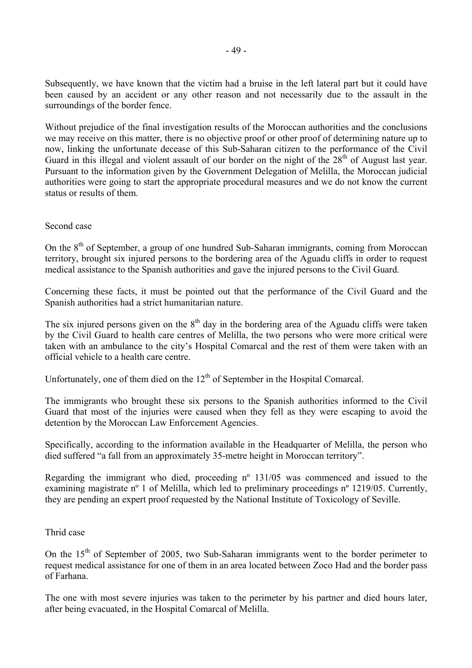Subsequently, we have known that the victim had a bruise in the left lateral part but it could have been caused by an accident or any other reason and not necessarily due to the assault in the surroundings of the border fence.

Without prejudice of the final investigation results of the Moroccan authorities and the conclusions we may receive on this matter, there is no objective proof or other proof of determining nature up to now, linking the unfortunate decease of this Sub-Saharan citizen to the performance of the Civil Guard in this illegal and violent assault of our border on the night of the  $28<sup>th</sup>$  of August last year. Pursuant to the information given by the Government Delegation of Melilla, the Moroccan judicial authorities were going to start the appropriate procedural measures and we do not know the current status or results of them.

#### Second case

On the 8<sup>th</sup> of September, a group of one hundred Sub-Saharan immigrants, coming from Moroccan territory, brought six injured persons to the bordering area of the Aguadu cliffs in order to request medical assistance to the Spanish authorities and gave the injured persons to the Civil Guard.

Concerning these facts, it must be pointed out that the performance of the Civil Guard and the Spanish authorities had a strict humanitarian nature.

The six injured persons given on the  $8<sup>th</sup>$  day in the bordering area of the Aguadu cliffs were taken by the Civil Guard to health care centres of Melilla, the two persons who were more critical were taken with an ambulance to the city's Hospital Comarcal and the rest of them were taken with an official vehicle to a health care centre.

Unfortunately, one of them died on the  $12<sup>th</sup>$  of September in the Hospital Comarcal.

The immigrants who brought these six persons to the Spanish authorities informed to the Civil Guard that most of the injuries were caused when they fell as they were escaping to avoid the detention by the Moroccan Law Enforcement Agencies.

Specifically, according to the information available in the Headquarter of Melilla, the person who died suffered "a fall from an approximately 35-metre height in Moroccan territory".

Regarding the immigrant who died, proceeding nº 131/05 was commenced and issued to the examining magistrate n<sup>o</sup> 1 of Melilla, which led to preliminary proceedings n<sup>o</sup> 1219/05. Currently, they are pending an expert proof requested by the National Institute of Toxicology of Seville.

#### Thrid case

On the  $15<sup>th</sup>$  of September of 2005, two Sub-Saharan immigrants went to the border perimeter to request medical assistance for one of them in an area located between Zoco Had and the border pass of Farhana.

The one with most severe injuries was taken to the perimeter by his partner and died hours later, after being evacuated, in the Hospital Comarcal of Melilla.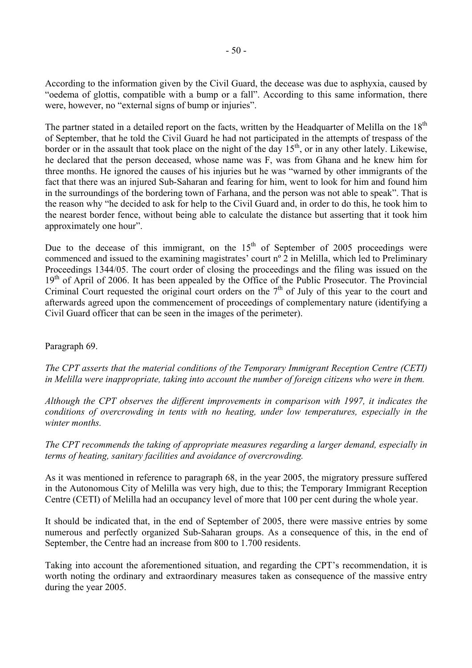According to the information given by the Civil Guard, the decease was due to asphyxia, caused by "oedema of glottis, compatible with a bump or a fall". According to this same information, there were, however, no "external signs of bump or injuries".

The partner stated in a detailed report on the facts, written by the Headquarter of Melilla on the 18<sup>th</sup> of September, that he told the Civil Guard he had not participated in the attempts of trespass of the border or in the assault that took place on the night of the day  $15<sup>th</sup>$ , or in any other lately. Likewise, he declared that the person deceased, whose name was F, was from Ghana and he knew him for three months. He ignored the causes of his injuries but he was "warned by other immigrants of the fact that there was an injured Sub-Saharan and fearing for him, went to look for him and found him in the surroundings of the bordering town of Farhana, and the person was not able to speak". That is the reason why "he decided to ask for help to the Civil Guard and, in order to do this, he took him to the nearest border fence, without being able to calculate the distance but asserting that it took him approximately one hour".

Due to the decease of this immigrant, on the  $15<sup>th</sup>$  of September of 2005 proceedings were commenced and issued to the examining magistrates' court nº 2 in Melilla, which led to Preliminary Proceedings 1344/05. The court order of closing the proceedings and the filing was issued on the 19<sup>th</sup> of April of 2006. It has been appealed by the Office of the Public Prosecutor. The Provincial Criminal Court requested the original court orders on the  $7<sup>th</sup>$  of July of this year to the court and afterwards agreed upon the commencement of proceedings of complementary nature (identifying a Civil Guard officer that can be seen in the images of the perimeter).

# Paragraph 69.

*The CPT asserts that the material conditions of the Temporary Immigrant Reception Centre (CETI) in Melilla were inappropriate, taking into account the number of foreign citizens who were in them.* 

*Although the CPT observes the different improvements in comparison with 1997, it indicates the conditions of overcrowding in tents with no heating, under low temperatures, especially in the winter months.* 

*The CPT recommends the taking of appropriate measures regarding a larger demand, especially in terms of heating, sanitary facilities and avoidance of overcrowding.* 

As it was mentioned in reference to paragraph 68, in the year 2005, the migratory pressure suffered in the Autonomous City of Melilla was very high, due to this; the Temporary Immigrant Reception Centre (CETI) of Melilla had an occupancy level of more that 100 per cent during the whole year.

It should be indicated that, in the end of September of 2005, there were massive entries by some numerous and perfectly organized Sub-Saharan groups. As a consequence of this, in the end of September, the Centre had an increase from 800 to 1.700 residents.

Taking into account the aforementioned situation, and regarding the CPT's recommendation, it is worth noting the ordinary and extraordinary measures taken as consequence of the massive entry during the year 2005.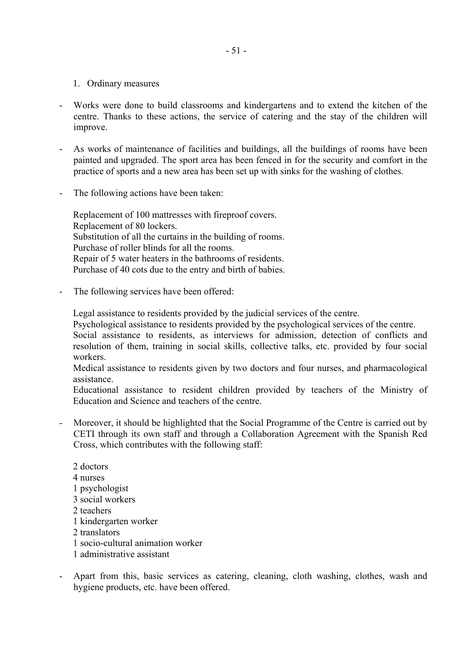- 1. Ordinary measures
- Works were done to build classrooms and kindergartens and to extend the kitchen of the centre. Thanks to these actions, the service of catering and the stay of the children will improve.
- As works of maintenance of facilities and buildings, all the buildings of rooms have been painted and upgraded. The sport area has been fenced in for the security and comfort in the practice of sports and a new area has been set up with sinks for the washing of clothes.
- The following actions have been taken:

Replacement of 100 mattresses with fireproof covers. Replacement of 80 lockers. Substitution of all the curtains in the building of rooms. Purchase of roller blinds for all the rooms. Repair of 5 water heaters in the bathrooms of residents. Purchase of 40 cots due to the entry and birth of babies.

The following services have been offered:

Legal assistance to residents provided by the judicial services of the centre.

Psychological assistance to residents provided by the psychological services of the centre.

Social assistance to residents, as interviews for admission, detection of conflicts and resolution of them, training in social skills, collective talks, etc. provided by four social workers.

Medical assistance to residents given by two doctors and four nurses, and pharmacological assistance.

Educational assistance to resident children provided by teachers of the Ministry of Education and Science and teachers of the centre.

- Moreover, it should be highlighted that the Social Programme of the Centre is carried out by CETI through its own staff and through a Collaboration Agreement with the Spanish Red Cross, which contributes with the following staff:
	- 2 doctors 4 nurses 1 psychologist 3 social workers 2 teachers 1 kindergarten worker 2 translators 1 socio-cultural animation worker 1 administrative assistant
- Apart from this, basic services as catering, cleaning, cloth washing, clothes, wash and hygiene products, etc. have been offered.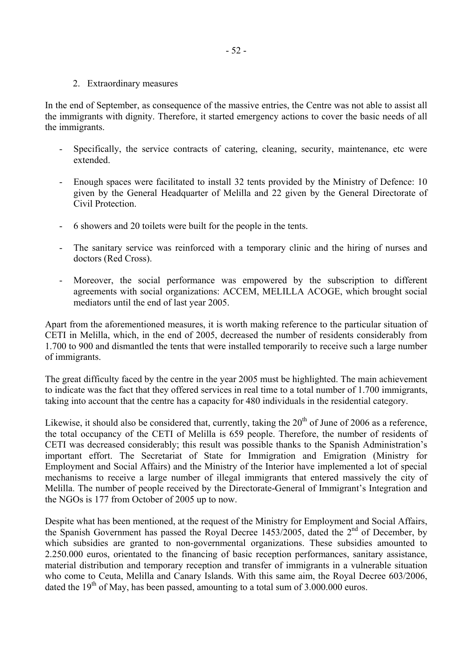2. Extraordinary measures

In the end of September, as consequence of the massive entries, the Centre was not able to assist all the immigrants with dignity. Therefore, it started emergency actions to cover the basic needs of all the immigrants.

- Specifically, the service contracts of catering, cleaning, security, maintenance, etc were extended.
- Enough spaces were facilitated to install 32 tents provided by the Ministry of Defence: 10 given by the General Headquarter of Melilla and 22 given by the General Directorate of Civil Protection.
- 6 showers and 20 toilets were built for the people in the tents.
- The sanitary service was reinforced with a temporary clinic and the hiring of nurses and doctors (Red Cross).
- Moreover, the social performance was empowered by the subscription to different agreements with social organizations: ACCEM, MELILLA ACOGE, which brought social mediators until the end of last year 2005.

Apart from the aforementioned measures, it is worth making reference to the particular situation of CETI in Melilla, which, in the end of 2005, decreased the number of residents considerably from 1.700 to 900 and dismantled the tents that were installed temporarily to receive such a large number of immigrants.

The great difficulty faced by the centre in the year 2005 must be highlighted. The main achievement to indicate was the fact that they offered services in real time to a total number of 1.700 immigrants, taking into account that the centre has a capacity for 480 individuals in the residential category.

Likewise, it should also be considered that, currently, taking the  $20<sup>th</sup>$  of June of 2006 as a reference, the total occupancy of the CETI of Melilla is 659 people. Therefore, the number of residents of CETI was decreased considerably; this result was possible thanks to the Spanish Administration's important effort. The Secretariat of State for Immigration and Emigration (Ministry for Employment and Social Affairs) and the Ministry of the Interior have implemented a lot of special mechanisms to receive a large number of illegal immigrants that entered massively the city of Melilla. The number of people received by the Directorate-General of Immigrant's Integration and the NGOs is 177 from October of 2005 up to now.

Despite what has been mentioned, at the request of the Ministry for Employment and Social Affairs, the Spanish Government has passed the Royal Decree 1453/2005, dated the  $2<sup>nd</sup>$  of December, by which subsidies are granted to non-governmental organizations. These subsidies amounted to 2.250.000 euros, orientated to the financing of basic reception performances, sanitary assistance, material distribution and temporary reception and transfer of immigrants in a vulnerable situation who come to Ceuta, Melilla and Canary Islands. With this same aim, the Royal Decree 603/2006, dated the  $19<sup>th</sup>$  of May, has been passed, amounting to a total sum of 3.000.000 euros.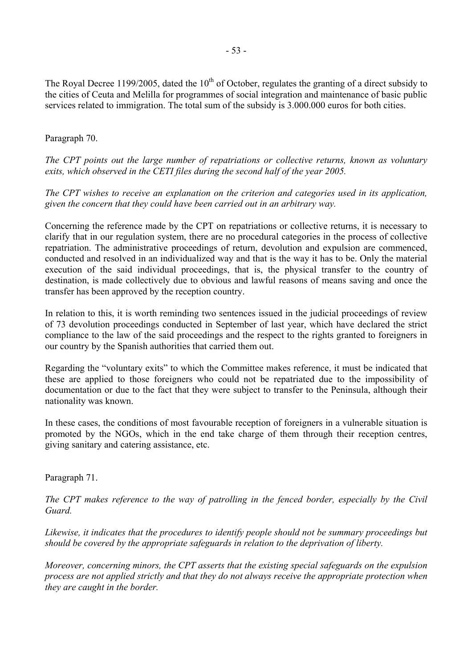The Royal Decree 1199/2005, dated the 10<sup>th</sup> of October, regulates the granting of a direct subsidy to the cities of Ceuta and Melilla for programmes of social integration and maintenance of basic public services related to immigration. The total sum of the subsidy is 3.000.000 euros for both cities.

# Paragraph 70.

*The CPT points out the large number of repatriations or collective returns, known as voluntary exits, which observed in the CETI files during the second half of the year 2005.* 

*The CPT wishes to receive an explanation on the criterion and categories used in its application, given the concern that they could have been carried out in an arbitrary way.* 

Concerning the reference made by the CPT on repatriations or collective returns, it is necessary to clarify that in our regulation system, there are no procedural categories in the process of collective repatriation. The administrative proceedings of return, devolution and expulsion are commenced, conducted and resolved in an individualized way and that is the way it has to be. Only the material execution of the said individual proceedings, that is, the physical transfer to the country of destination, is made collectively due to obvious and lawful reasons of means saving and once the transfer has been approved by the reception country.

In relation to this, it is worth reminding two sentences issued in the judicial proceedings of review of 73 devolution proceedings conducted in September of last year, which have declared the strict compliance to the law of the said proceedings and the respect to the rights granted to foreigners in our country by the Spanish authorities that carried them out.

Regarding the "voluntary exits" to which the Committee makes reference, it must be indicated that these are applied to those foreigners who could not be repatriated due to the impossibility of documentation or due to the fact that they were subject to transfer to the Peninsula, although their nationality was known.

In these cases, the conditions of most favourable reception of foreigners in a vulnerable situation is promoted by the NGOs, which in the end take charge of them through their reception centres, giving sanitary and catering assistance, etc.

Paragraph 71.

*The CPT makes reference to the way of patrolling in the fenced border, especially by the Civil Guard.* 

*Likewise, it indicates that the procedures to identify people should not be summary proceedings but should be covered by the appropriate safeguards in relation to the deprivation of liberty.* 

*Moreover, concerning minors, the CPT asserts that the existing special safeguards on the expulsion process are not applied strictly and that they do not always receive the appropriate protection when they are caught in the border.*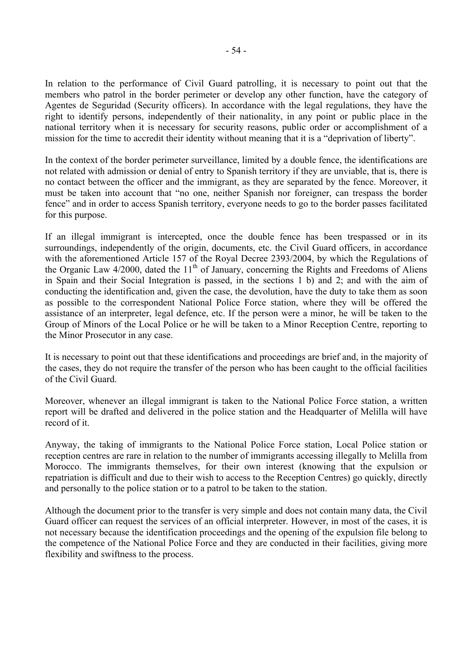In relation to the performance of Civil Guard patrolling, it is necessary to point out that the members who patrol in the border perimeter or develop any other function, have the category of Agentes de Seguridad (Security officers). In accordance with the legal regulations, they have the right to identify persons, independently of their nationality, in any point or public place in the national territory when it is necessary for security reasons, public order or accomplishment of a mission for the time to accredit their identity without meaning that it is a "deprivation of liberty".

In the context of the border perimeter surveillance, limited by a double fence, the identifications are not related with admission or denial of entry to Spanish territory if they are unviable, that is, there is no contact between the officer and the immigrant, as they are separated by the fence. Moreover, it must be taken into account that "no one, neither Spanish nor foreigner, can trespass the border fence" and in order to access Spanish territory, everyone needs to go to the border passes facilitated for this purpose.

If an illegal immigrant is intercepted, once the double fence has been trespassed or in its surroundings, independently of the origin, documents, etc. the Civil Guard officers, in accordance with the aforementioned Article 157 of the Royal Decree 2393/2004, by which the Regulations of the Organic Law  $4/2000$ , dated the  $11<sup>th</sup>$  of January, concerning the Rights and Freedoms of Aliens in Spain and their Social Integration is passed, in the sections 1 b) and 2; and with the aim of conducting the identification and, given the case, the devolution, have the duty to take them as soon as possible to the correspondent National Police Force station, where they will be offered the assistance of an interpreter, legal defence, etc. If the person were a minor, he will be taken to the Group of Minors of the Local Police or he will be taken to a Minor Reception Centre, reporting to the Minor Prosecutor in any case.

It is necessary to point out that these identifications and proceedings are brief and, in the majority of the cases, they do not require the transfer of the person who has been caught to the official facilities of the Civil Guard.

Moreover, whenever an illegal immigrant is taken to the National Police Force station, a written report will be drafted and delivered in the police station and the Headquarter of Melilla will have record of it.

Anyway, the taking of immigrants to the National Police Force station, Local Police station or reception centres are rare in relation to the number of immigrants accessing illegally to Melilla from Morocco. The immigrants themselves, for their own interest (knowing that the expulsion or repatriation is difficult and due to their wish to access to the Reception Centres) go quickly, directly and personally to the police station or to a patrol to be taken to the station.

Although the document prior to the transfer is very simple and does not contain many data, the Civil Guard officer can request the services of an official interpreter. However, in most of the cases, it is not necessary because the identification proceedings and the opening of the expulsion file belong to the competence of the National Police Force and they are conducted in their facilities, giving more flexibility and swiftness to the process.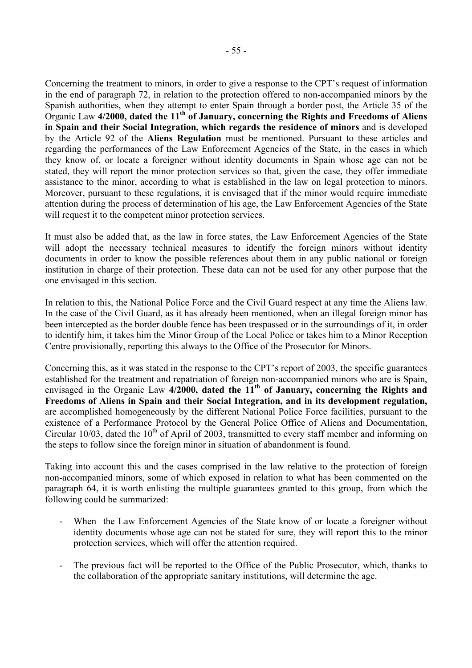Concerning the treatment to minors, in order to give a response to the CPT's request of information in the end of paragraph 72, in relation to the protection offered to non-accompanied minors by the Spanish authorities, when they attempt to enter Spain through a border post, the Article 35 of the Organic Law **4/2000, dated the 11th of January, concerning the Rights and Freedoms of Aliens in Spain and their Social Integration, which regards the residence of minors** and is developed by the Article 92 of the **Aliens Regulation** must be mentioned. Pursuant to these articles and regarding the performances of the Law Enforcement Agencies of the State, in the cases in which they know of, or locate a foreigner without identity documents in Spain whose age can not be stated, they will report the minor protection services so that, given the case, they offer immediate assistance to the minor, according to what is established in the law on legal protection to minors. Moreover, pursuant to these regulations, it is envisaged that if the minor would require immediate attention during the process of determination of his age, the Law Enforcement Agencies of the State will request it to the competent minor protection services.

It must also be added that, as the law in force states, the Law Enforcement Agencies of the State will adopt the necessary technical measures to identify the foreign minors without identity documents in order to know the possible references about them in any public national or foreign institution in charge of their protection. These data can not be used for any other purpose that the one envisaged in this section.

In relation to this, the National Police Force and the Civil Guard respect at any time the Aliens law. In the case of the Civil Guard, as it has already been mentioned, when an illegal foreign minor has been intercepted as the border double fence has been trespassed or in the surroundings of it, in order to identify him, it takes him the Minor Group of the Local Police or takes him to a Minor Reception Centre provisionally, reporting this always to the Office of the Prosecutor for Minors.

Concerning this, as it was stated in the response to the CPT's report of 2003, the specific guarantees established for the treatment and repatriation of foreign non-accompanied minors who are is Spain, envisaged in the Organic Law 4/2000, dated the 11<sup>th</sup> of January, concerning the Rights and **Freedoms of Aliens in Spain and their Social Integration, and in its development regulation,**  are accomplished homogeneously by the different National Police Force facilities, pursuant to the existence of a Performance Protocol by the General Police Office of Aliens and Documentation, Circular 10/03, dated the 10<sup>th</sup> of April of 2003, transmitted to every staff member and informing on the steps to follow since the foreign minor in situation of abandonment is found.

Taking into account this and the cases comprised in the law relative to the protection of foreign non-accompanied minors, some of which exposed in relation to what has been commented on the paragraph 64, it is worth enlisting the multiple guarantees granted to this group, from which the following could be summarized:

- When the Law Enforcement Agencies of the State know of or locate a foreigner without identity documents whose age can not be stated for sure, they will report this to the minor protection services, which will offer the attention required.
- The previous fact will be reported to the Office of the Public Prosecutor, which, thanks to the collaboration of the appropriate sanitary institutions, will determine the age.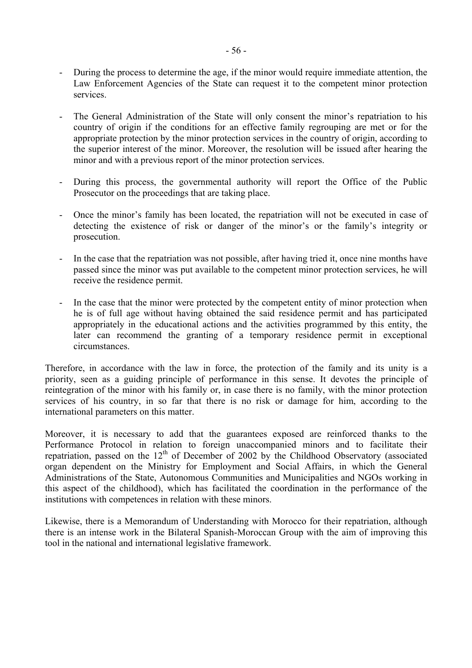- During the process to determine the age, if the minor would require immediate attention, the Law Enforcement Agencies of the State can request it to the competent minor protection services.
- The General Administration of the State will only consent the minor's repatriation to his country of origin if the conditions for an effective family regrouping are met or for the appropriate protection by the minor protection services in the country of origin, according to the superior interest of the minor. Moreover, the resolution will be issued after hearing the minor and with a previous report of the minor protection services.
- During this process, the governmental authority will report the Office of the Public Prosecutor on the proceedings that are taking place.
- Once the minor's family has been located, the repatriation will not be executed in case of detecting the existence of risk or danger of the minor's or the family's integrity or prosecution.
- In the case that the repatriation was not possible, after having tried it, once nine months have passed since the minor was put available to the competent minor protection services, he will receive the residence permit.
- In the case that the minor were protected by the competent entity of minor protection when he is of full age without having obtained the said residence permit and has participated appropriately in the educational actions and the activities programmed by this entity, the later can recommend the granting of a temporary residence permit in exceptional circumstances.

Therefore, in accordance with the law in force, the protection of the family and its unity is a priority, seen as a guiding principle of performance in this sense. It devotes the principle of reintegration of the minor with his family or, in case there is no family, with the minor protection services of his country, in so far that there is no risk or damage for him, according to the international parameters on this matter.

Moreover, it is necessary to add that the guarantees exposed are reinforced thanks to the Performance Protocol in relation to foreign unaccompanied minors and to facilitate their repatriation, passed on the  $12<sup>th</sup>$  of December of 2002 by the Childhood Observatory (associated organ dependent on the Ministry for Employment and Social Affairs, in which the General Administrations of the State, Autonomous Communities and Municipalities and NGOs working in this aspect of the childhood), which has facilitated the coordination in the performance of the institutions with competences in relation with these minors.

Likewise, there is a Memorandum of Understanding with Morocco for their repatriation, although there is an intense work in the Bilateral Spanish-Moroccan Group with the aim of improving this tool in the national and international legislative framework.